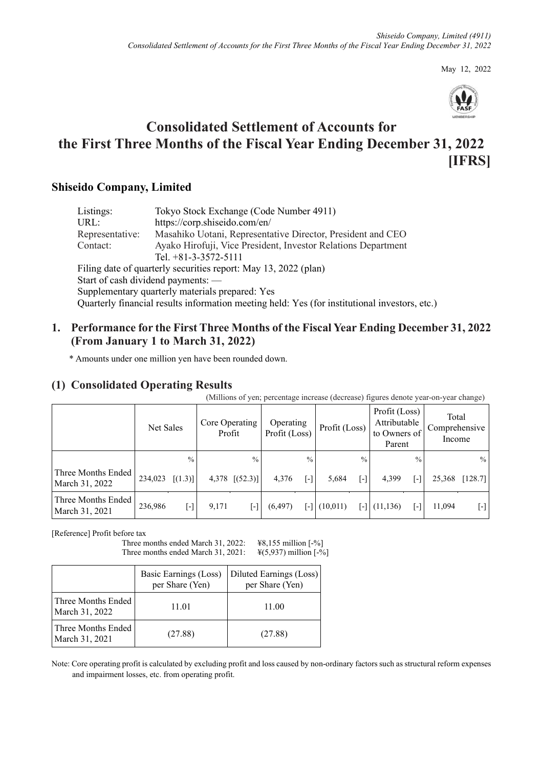May 12, 2022



# **Consolidated Settlement of Accounts for the First Three Months of the Fiscal Year Ending December 31, 2022 [IFRS]**

# **Shiseido Company, Limited**

| Listings:       | Tokyo Stock Exchange (Code Number 4911)                                                       |
|-----------------|-----------------------------------------------------------------------------------------------|
| URL:            | https://corp.shiseido.com/en/                                                                 |
| Representative: | Masahiko Uotani, Representative Director, President and CEO                                   |
| Contact:        | Ayako Hirofuji, Vice President, Investor Relations Department                                 |
|                 | Tel. $+81-3-3572-5111$                                                                        |
|                 | Filing date of quarterly securities report: May 13, 2022 (plan)                               |
|                 | Start of cash dividend payments: —                                                            |
|                 | Supplementary quarterly materials prepared: Yes                                               |
|                 | Quarterly financial results information meeting held: Yes (for institutional investors, etc.) |

# **1. Performance for the First Three Months of the Fiscal Year Ending December 31, 2022 (From January 1 to March 31, 2022)**

\* Amounts under one million yen have been rounded down.

# **(1) Consolidated Operating Results**

(Millions of yen; percentage increase (decrease) figures denote year-on-year change)

|                                      | Net Sales |                                   |       | Core Operating<br>Profit | Operating<br>Profit (Loss) |                     | Profit (Loss) |               | Profit (Loss)<br>Attributable<br>to Owners of<br>Parent |                                    | Total<br>Comprehensive<br>Income |                                                                                                                                                                                                                                                                                                                                                  |
|--------------------------------------|-----------|-----------------------------------|-------|--------------------------|----------------------------|---------------------|---------------|---------------|---------------------------------------------------------|------------------------------------|----------------------------------|--------------------------------------------------------------------------------------------------------------------------------------------------------------------------------------------------------------------------------------------------------------------------------------------------------------------------------------------------|
|                                      |           | $\frac{0}{0}$ .                   |       | $\frac{0}{0}$            |                            | $\frac{0}{0}$       |               | $\frac{0}{0}$ |                                                         | $\frac{0}{0}$                      |                                  | $\%$                                                                                                                                                                                                                                                                                                                                             |
| Three Months Ended<br>March 31, 2022 | 234,023   | [(1.3)]                           |       | $4,378$ [(52.3)]         | 4,376                      | $\lbrack - \rbrack$ | 5,684         | [-]           | 4,399                                                   | $\begin{bmatrix} -1 \end{bmatrix}$ | 25,368                           | [128.7]                                                                                                                                                                                                                                                                                                                                          |
| Three Months Ended<br>March 31, 2021 | 236,986   | $\overline{[} \cdot \overline{]}$ | 9,171 | [-]                      | (6, 497)                   | $\mathsf{F}$        | (10,011)      | r-1           | (11, 136)                                               | Œ                                  | 11,094                           | $\left[ -\right] % \begin{minipage}[b]{.45\linewidth} \centering \includegraphics[width=\textwidth]{figs/fig_4-1.png} \end{minipage} \caption{The average number of different types of points $\mathcal{M}_1$ and $\mathcal{M}_2$ are shown in the left panel. The number of points $\mathcal{M}_1$ is shown in the right panel.} \label{fig:1}$ |

[Reference] Profit before tax

Three months ended March 31, 2022: ¥8,155 million [-%] Three months ended March 31, 2021:  $\frac{\frac{1}{2}(5,937)}{1}$  million [-%]

|                                      | Basic Earnings (Loss)<br>per Share (Yen) | Diluted Earnings (Loss)<br>per Share (Yen) |
|--------------------------------------|------------------------------------------|--------------------------------------------|
| Three Months Ended<br>March 31, 2022 | 11.01                                    | 11.00                                      |
| Three Months Ended<br>March 31, 2021 | (27.88)                                  | (27.88)                                    |

Note: Core operating profit is calculated by excluding profit and loss caused by non-ordinary factors such as structural reform expenses and impairment losses, etc. from operating profit.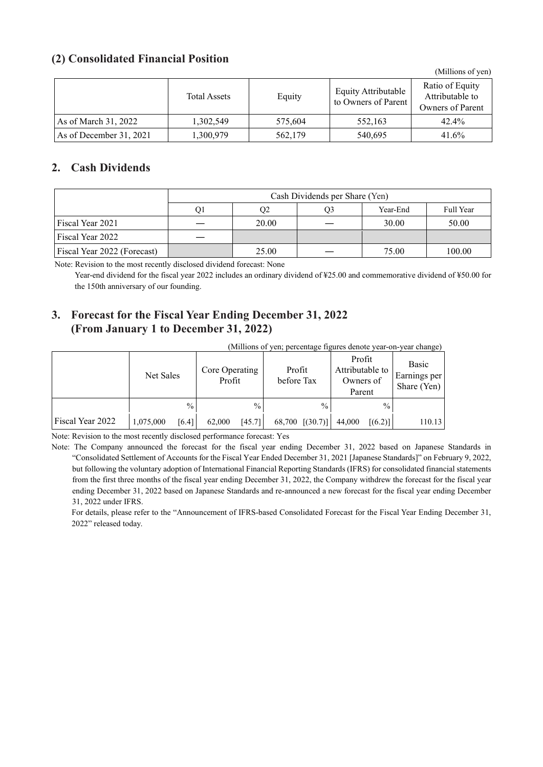### **(2) Consolidated Financial Position**

(Millions of yen)

|                         | <b>Total Assets</b> | Equity  | Equity Attributable<br>to Owners of Parent | Ratio of Equity<br>Attributable to<br>Owners of Parent |
|-------------------------|---------------------|---------|--------------------------------------------|--------------------------------------------------------|
| As of March 31, 2022    | 1,302,549           | 575,604 | 552,163                                    | 42.4%                                                  |
| As of December 31, 2021 | 1,300,979           | 562,179 | 540,695                                    | 41.6%                                                  |

### **2. Cash Dividends**

|                             |    | Cash Dividends per Share (Yen) |    |          |           |  |  |  |  |
|-----------------------------|----|--------------------------------|----|----------|-----------|--|--|--|--|
|                             | O1 | Q2                             | Э3 | Year-End | Full Year |  |  |  |  |
| Fiscal Year 2021            |    | 20.00                          |    | 30.00    | 50.00     |  |  |  |  |
| Fiscal Year 2022            |    |                                |    |          |           |  |  |  |  |
| Fiscal Year 2022 (Forecast) |    | 25.00                          |    | 75.00    | 100.00    |  |  |  |  |

Note: Revision to the most recently disclosed dividend forecast: None

Year-end dividend for the fiscal year 2022 includes an ordinary dividend of ¥25.00 and commemorative dividend of ¥50.00 for the 150th anniversary of our founding.

## **3. Forecast for the Fiscal Year Ending December 31, 2022 (From January 1 to December 31, 2022)**

|                  | (Millions of yen; percentage figures denote year-on-year change) |       |                          |        |                      |                 |                                                  |               |                                             |  |
|------------------|------------------------------------------------------------------|-------|--------------------------|--------|----------------------|-----------------|--------------------------------------------------|---------------|---------------------------------------------|--|
|                  | Net Sales                                                        |       | Core Operating<br>Profit |        | Profit<br>before Tax |                 | Profit<br>Attributable to<br>Owners of<br>Parent |               | Basic<br><b>Earnings</b> per<br>Share (Yen) |  |
|                  |                                                                  | $\%$  |                          | $\%$   |                      | $\frac{0}{0}$   |                                                  | $\frac{0}{0}$ |                                             |  |
| Fiscal Year 2022 | 1,075,000                                                        | [6.4] | 62,000                   | [45.7] |                      | 68,700 [(30.7)] | 44,000                                           | [(6.2)]       | 110.13                                      |  |

Note: Revision to the most recently disclosed performance forecast: Yes

Note: The Company announced the forecast for the fiscal year ending December 31, 2022 based on Japanese Standards in "Consolidated Settlement of Accounts for the Fiscal Year Ended December 31, 2021 [Japanese Standards]" on February 9, 2022, but following the voluntary adoption of International Financial Reporting Standards (IFRS) for consolidated financial statements from the first three months of the fiscal year ending December 31, 2022, the Company withdrew the forecast for the fiscal year ending December 31, 2022 based on Japanese Standards and re-announced a new forecast for the fiscal year ending December 31, 2022 under IFRS.

For details, please refer to the "Announcement of IFRS-based Consolidated Forecast for the Fiscal Year Ending December 31, 2022" released today.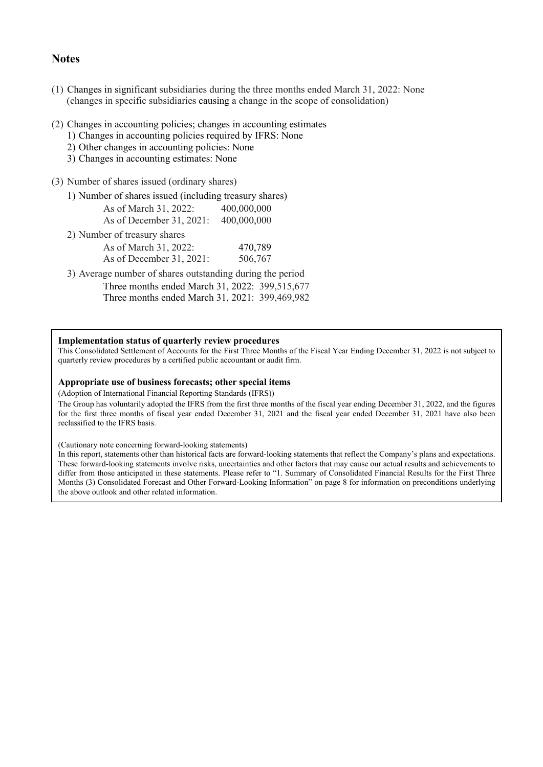### **Notes**

- (1) Changes in significant subsidiaries during the three months ended March 31, 2022: None (changes in specific subsidiaries causing a change in the scope of consolidation)
- (2) Changes in accounting policies; changes in accounting estimates
	- 1) Changes in accounting policies required by IFRS: None
	- 2) Other changes in accounting policies: None
	- 3) Changes in accounting estimates: None
- (3) Number of shares issued (ordinary shares)
	- 1) Number of shares issued (including treasury shares) As of March 31, 2022: 400,000,000
		- As of December 31, 2021: 400,000,000
	- 2) Number of treasury shares

| As of March 31, 2022:    | 470,789 |
|--------------------------|---------|
| As of December 31, 2021: | 506,767 |

3) Average number of shares outstanding during the period

Three months ended March 31, 2022: 399,515,677 Three months ended March 31, 2021: 399,469,982

#### **Implementation status of quarterly review procedures**

This Consolidated Settlement of Accounts for the First Three Months of the Fiscal Year Ending December 31, 2022 is not subject to quarterly review procedures by a certified public accountant or audit firm.

#### **Appropriate use of business forecasts; other special items**

(Adoption of International Financial Reporting Standards (IFRS))

The Group has voluntarily adopted the IFRS from the first three months of the fiscal year ending December 31, 2022, and the figures for the first three months of fiscal year ended December 31, 2021 and the fiscal year ended December 31, 2021 have also been reclassified to the IFRS basis.

(Cautionary note concerning forward-looking statements)

In this report, statements other than historical facts are forward-looking statements that reflect the Company's plans and expectations. These forward-looking statements involve risks, uncertainties and other factors that may cause our actual results and achievements to differ from those anticipated in these statements. Please refer to "1. Summary of Consolidated Financial Results for the First Three Months (3) Consolidated Forecast and Other Forward-Looking Information" on page 8 for information on preconditions underlying the above outlook and other related information.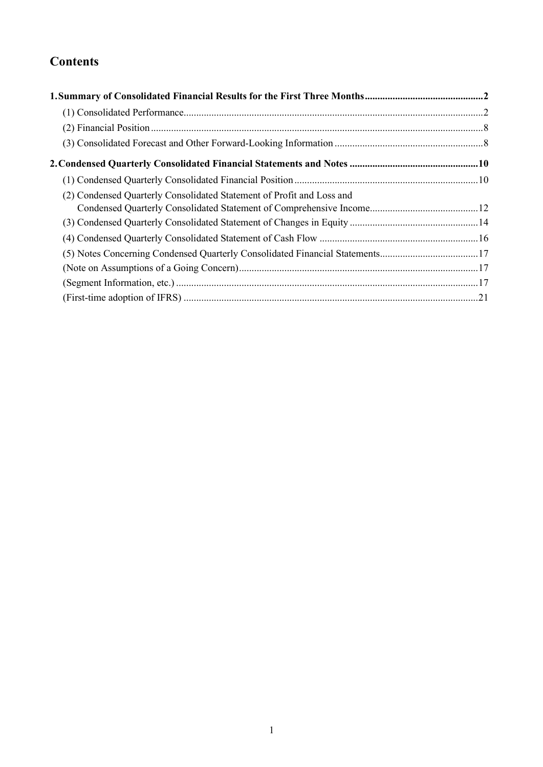# **Contents**

| (2) Condensed Quarterly Consolidated Statement of Profit and Loss and        |  |
|------------------------------------------------------------------------------|--|
|                                                                              |  |
|                                                                              |  |
|                                                                              |  |
| (5) Notes Concerning Condensed Quarterly Consolidated Financial Statements17 |  |
|                                                                              |  |
|                                                                              |  |
|                                                                              |  |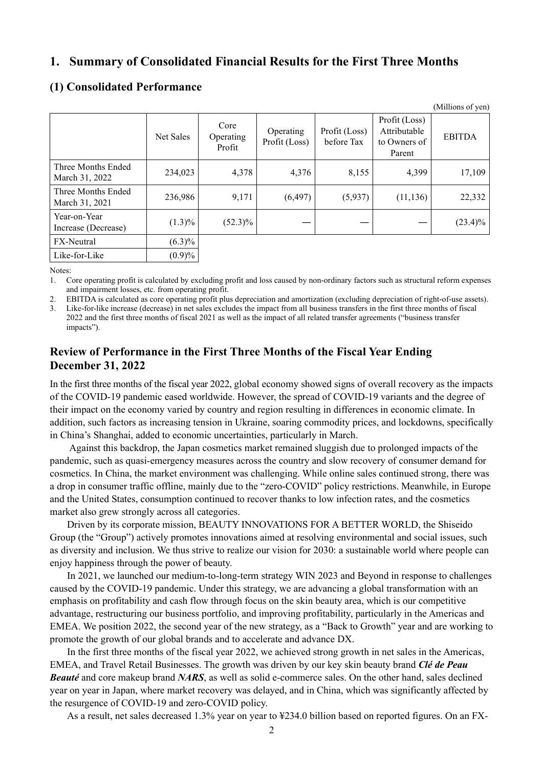### <span id="page-4-0"></span>**1. Summary of Consolidated Financial Results for the First Three Months**

|                                      |           |                             |                            |                             |                                                         | (Millions of yen) |
|--------------------------------------|-----------|-----------------------------|----------------------------|-----------------------------|---------------------------------------------------------|-------------------|
|                                      | Net Sales | Core<br>Operating<br>Profit | Operating<br>Profit (Loss) | Profit (Loss)<br>before Tax | Profit (Loss)<br>Attributable<br>to Owners of<br>Parent | <b>EBITDA</b>     |
| Three Months Ended<br>March 31, 2022 | 234,023   | 4,378                       | 4,376                      | 8,155                       | 4,399                                                   | 17,109            |
| Three Months Ended<br>March 31, 2021 | 236,986   | 9,171                       | (6, 497)                   | (5,937)                     | (11, 136)                                               | 22,332            |
| Year-on-Year<br>Increase (Decrease)  | $(1.3)\%$ | $(52.3)\%$                  |                            |                             |                                                         | $(23.4)\%$        |
| FX-Neutral                           | $(6.3)\%$ |                             |                            |                             |                                                         |                   |
| Like-for-Like                        | (0.9)%    |                             |                            |                             |                                                         |                   |

### <span id="page-4-1"></span>**(1) Consolidated Performance**

Notes:

1. Core operating profit is calculated by excluding profit and loss caused by non-ordinary factors such as structural reform expenses and impairment losses, etc. from operating profit.

2. EBITDA is calculated as core operating profit plus depreciation and amortization (excluding depreciation of right-of-use assets).

Like-for-like increase (decrease) in net sales excludes the impact from all business transfers in the first three months of fiscal 2022 and the first three months of fiscal 2021 as well as the impact of all related transfer agreements ("business transfer impacts").

## **Review of Performance in the First Three Months of the Fiscal Year Ending December 31, 2022**

In the first three months of the fiscal year 2022, global economy showed signs of overall recovery as the impacts of the COVID-19 pandemic eased worldwide. However, the spread of COVID-19 variants and the degree of their impact on the economy varied by country and region resulting in differences in economic climate. In addition, such factors as increasing tension in Ukraine, soaring commodity prices, and lockdowns, specifically in China's Shanghai, added to economic uncertainties, particularly in March.

Against this backdrop, the Japan cosmetics market remained sluggish due to prolonged impacts of the pandemic, such as quasi-emergency measures across the country and slow recovery of consumer demand for cosmetics. In China, the market environment was challenging. While online sales continued strong, there was a drop in consumer traffic offline, mainly due to the "zero-COVID" policy restrictions. Meanwhile, in Europe and the United States, consumption continued to recover thanks to low infection rates, and the cosmetics market also grew strongly across all categories.

Driven by its corporate mission, BEAUTY INNOVATIONS FOR A BETTER WORLD, the Shiseido Group (the "Group") actively promotes innovations aimed at resolving environmental and social issues, such as diversity and inclusion. We thus strive to realize our vision for 2030: a sustainable world where people can enjoy happiness through the power of beauty.

In 2021, we launched our medium-to-long-term strategy WIN 2023 and Beyond in response to challenges caused by the COVID-19 pandemic. Under this strategy, we are advancing a global transformation with an emphasis on profitability and cash flow through focus on the skin beauty area, which is our competitive advantage, restructuring our business portfolio, and improving profitability, particularly in the Americas and EMEA. We position 2022, the second year of the new strategy, as a "Back to Growth" year and are working to promote the growth of our global brands and to accelerate and advance DX.

In the first three months of the fiscal year 2022, we achieved strong growth in net sales in the Americas, EMEA, and Travel Retail Businesses. The growth was driven by our key skin beauty brand *Clé de Peau Beauté* and core makeup brand *NARS*, as well as solid e-commerce sales. On the other hand, sales declined year on year in Japan, where market recovery was delayed, and in China, which was significantly affected by the resurgence of COVID-19 and zero-COVID policy.

As a result, net sales decreased 1.3% year on year to ¥234.0 billion based on reported figures. On an FX-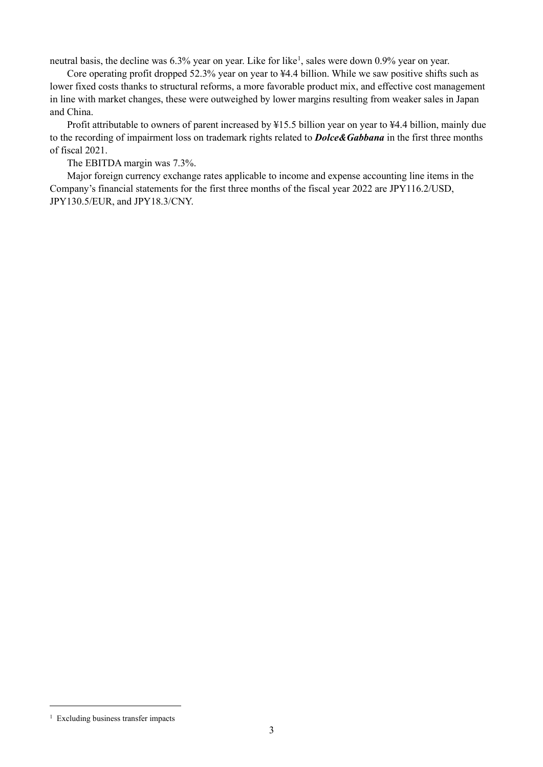neutral basis, the decline was 6.3% year on year. Like for like<sup>[1](#page-5-0)</sup>, sales were down 0.9% year on year.

Core operating profit dropped 52.3% year on year to ¥4.4 billion. While we saw positive shifts such as lower fixed costs thanks to structural reforms, a more favorable product mix, and effective cost management in line with market changes, these were outweighed by lower margins resulting from weaker sales in Japan and China.

Profit attributable to owners of parent increased by ¥15.5 billion year on year to ¥4.4 billion, mainly due to the recording of impairment loss on trademark rights related to *Dolce&Gabbana* in the first three months of fiscal 2021.

The EBITDA margin was 7.3%.

Major foreign currency exchange rates applicable to income and expense accounting line items in the Company's financial statements for the first three months of the fiscal year 2022 are JPY116.2/USD, JPY130.5/EUR, and JPY18.3/CNY.

<span id="page-5-0"></span><sup>&</sup>lt;sup>1</sup> Excluding business transfer impacts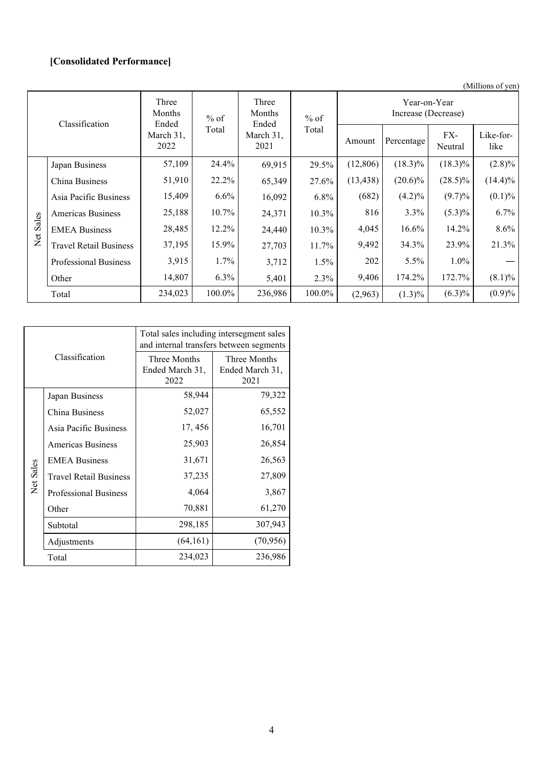# **[Consolidated Performance]**

(Millions of yen)

| Classification             |                               | Three<br>Months<br>Ended                        | $%$ of  | Three<br>Months<br>Ended | $%$ of  | Year-on-Year<br>Increase (Decrease) |                |                   |            |  |
|----------------------------|-------------------------------|-------------------------------------------------|---------|--------------------------|---------|-------------------------------------|----------------|-------------------|------------|--|
|                            |                               | Total<br>March 31,<br>March 31,<br>2022<br>2021 |         | Total                    | Amount  | Percentage                          | FX-<br>Neutral | Like-for-<br>like |            |  |
|                            | Japan Business                | 57,109                                          | 24.4%   | 69,915                   | 29.5%   | (12,806)                            | $(18.3)\%$     | $(18.3)\%$        | $(2.8)\%$  |  |
|                            | China Business                | 51,910                                          | 22.2%   | 65,349                   | 27.6%   | (13, 438)                           | $(20.6)\%$     | $(28.5)\%$        | $(14.4)\%$ |  |
|                            | Asia Pacific Business         | 15,409                                          | $6.6\%$ | 16,092                   | 6.8%    | (682)                               | $(4.2)\%$      | $(9.7)\%$         | $(0.1) \%$ |  |
|                            | <b>Americas Business</b>      | 25,188                                          | 10.7%   | 24,371                   | 10.3%   | 816                                 | 3.3%           | $(5.3)\%$         | 6.7%       |  |
| Sales                      | <b>EMEA Business</b>          | 28,485                                          | 12.2%   | 24,440                   | 10.3%   | 4,045                               | $16.6\%$       | 14.2%             | 8.6%       |  |
| $\rm \stackrel{tot}{\sim}$ | <b>Travel Retail Business</b> | 37,195                                          | 15.9%   | 27,703                   | 11.7%   | 9,492                               | 34.3%          | 23.9%             | 21.3%      |  |
|                            | <b>Professional Business</b>  | 3,915                                           | $1.7\%$ | 3,712                    | $1.5\%$ | 202                                 | $5.5\%$        | $1.0\%$           |            |  |
|                            | Other                         | 14,807                                          | 6.3%    | 5,401                    | 2.3%    | 9,406                               | 174.2%         | 172.7%            | $(8.1)\%$  |  |
|                            | Total                         | 234,023                                         | 100.0%  | 236,986                  | 100.0%  | (2,963)                             | $(1.3)\%$      | $(6.3)\%$         | $(0.9)\%$  |  |

|           |                               | Total sales including intersegment sales<br>and internal transfers between segments |                                         |  |  |  |
|-----------|-------------------------------|-------------------------------------------------------------------------------------|-----------------------------------------|--|--|--|
|           | Classification                | Three Months<br>Ended March 31,<br>2022                                             | Three Months<br>Ended March 31,<br>2021 |  |  |  |
|           | Japan Business                | 58,944                                                                              | 79,322                                  |  |  |  |
|           | China Business                | 52,027                                                                              | 65,552                                  |  |  |  |
|           | Asia Pacific Business         | 17, 456                                                                             | 16,701                                  |  |  |  |
|           | <b>Americas Business</b>      | 25,903                                                                              | 26,854                                  |  |  |  |
|           | <b>EMEA Business</b>          | 31,671                                                                              | 26,563                                  |  |  |  |
| Net Sales | <b>Travel Retail Business</b> | 37,235                                                                              | 27,809                                  |  |  |  |
|           | <b>Professional Business</b>  | 4,064                                                                               | 3,867                                   |  |  |  |
|           | Other                         | 70,881                                                                              | 61,270                                  |  |  |  |
|           | Subtotal                      | 298,185                                                                             | 307,943                                 |  |  |  |
|           | Adjustments                   | (64, 161)                                                                           | (70, 956)                               |  |  |  |
|           | Total                         | 234,023                                                                             | 236,986                                 |  |  |  |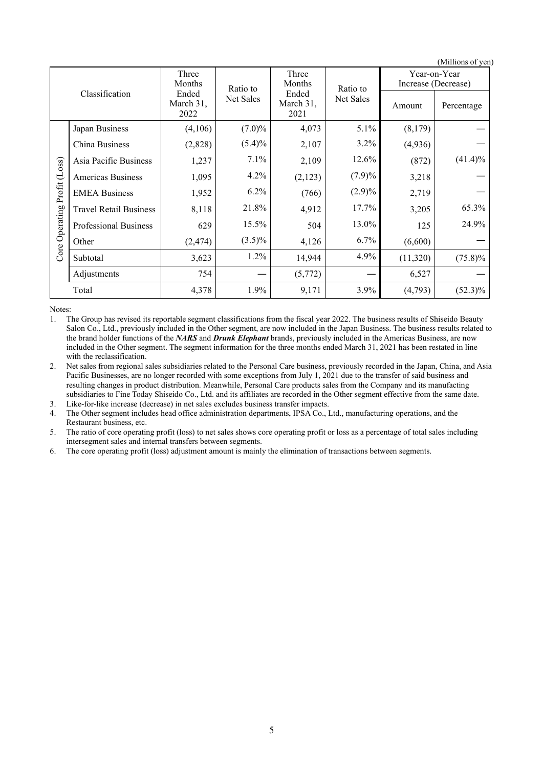|                | (Millions of yen)             |                                         |           |                            |           |                                     |            |  |  |
|----------------|-------------------------------|-----------------------------------------|-----------|----------------------------|-----------|-------------------------------------|------------|--|--|
|                |                               | Three<br>Months                         | Ratio to  | Three<br>Months            | Ratio to  | Year-on-Year<br>Increase (Decrease) |            |  |  |
| Classification |                               | Ended<br>Net Sales<br>March 31,<br>2022 |           | Ended<br>March 31,<br>2021 | Net Sales | Amount                              | Percentage |  |  |
|                | Japan Business                | (4,106)                                 | $(7.0)\%$ | 4,073                      | 5.1%      | (8,179)                             |            |  |  |
|                | China Business                | (2,828)                                 | $(5.4)\%$ | 2,107                      | $3.2\%$   | (4,936)                             |            |  |  |
|                | Asia Pacific Business         | 1,237                                   | 7.1%      | 2,109                      | 12.6%     | (872)                               | $(41.4)\%$ |  |  |
|                | <b>Americas Business</b>      | 1,095                                   | 4.2%      | (2,123)                    | $(7.9)\%$ | 3,218                               |            |  |  |
| Profit (Loss)  | <b>EMEA Business</b>          | 1,952                                   | 6.2%      | (766)                      | $(2.9)\%$ | 2,719                               |            |  |  |
|                | <b>Travel Retail Business</b> | 8,118                                   | 21.8%     | 4,912                      | 17.7%     | 3,205                               | 65.3%      |  |  |
| Operating      | <b>Professional Business</b>  | 629                                     | 15.5%     | 504                        | 13.0%     | 125                                 | 24.9%      |  |  |
|                | Other                         | (2, 474)                                | $(3.5)\%$ | 4,126                      | 6.7%      | (6,600)                             |            |  |  |
| Core           | Subtotal                      | 3,623                                   | 1.2%      | 14,944                     | 4.9%      | (11,320)                            | $(75.8)\%$ |  |  |
|                | Adjustments                   | 754                                     |           | (5,772)                    |           | 6,527                               |            |  |  |
|                | Total                         | 4,378                                   | 1.9%      | 9,171                      | 3.9%      | (4,793)                             | $(52.3)\%$ |  |  |

Notes:

1. The Group has revised its reportable segment classifications from the fiscal year 2022. The business results of Shiseido Beauty Salon Co., Ltd., previously included in the Other segment, are now included in the Japan Business. The business results related to the brand holder functions of the *NARS* and *Drunk Elephant* brands, previously included in the Americas Business, are now included in the Other segment. The segment information for the three months ended March 31, 2021 has been restated in line with the reclassification.

2. Net sales from regional sales subsidiaries related to the Personal Care business, previously recorded in the Japan, China, and Asia Pacific Businesses, are no longer recorded with some exceptions from July 1, 2021 due to the transfer of said business and resulting changes in product distribution. Meanwhile, Personal Care products sales from the Company and its manufacting subsidiaries to Fine Today Shiseido Co., Ltd. and its affiliates are recorded in the Other segment effective from the same date.

3. Like-for-like increase (decrease) in net sales excludes business transfer impacts.

4. The Other segment includes head office administration departments, IPSA Co., Ltd., manufacturing operations, and the Restaurant business, etc.

5. The ratio of core operating profit (loss) to net sales shows core operating profit or loss as a percentage of total sales including intersegment sales and internal transfers between segments.

6. The core operating profit (loss) adjustment amount is mainly the elimination of transactions between segments.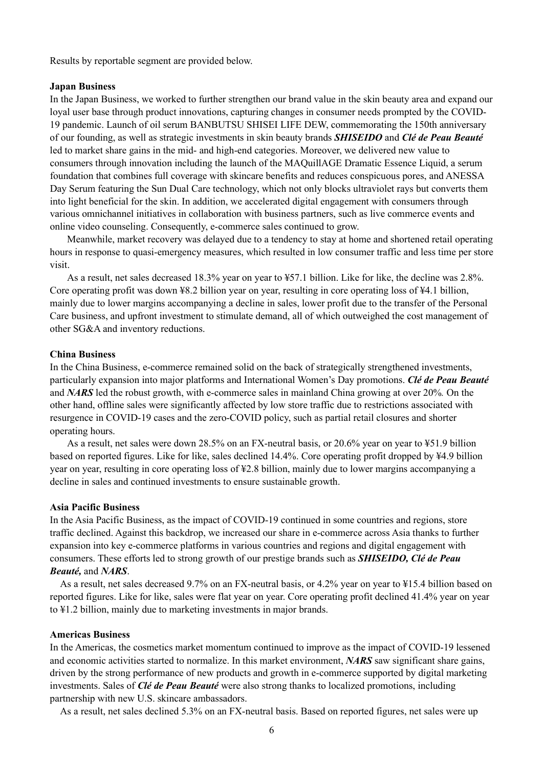Results by reportable segment are provided below.

### **Japan Business**

In the Japan Business, we worked to further strengthen our brand value in the skin beauty area and expand our loyal user base through product innovations, capturing changes in consumer needs prompted by the COVID-19 pandemic. Launch of oil serum BANBUTSU SHISEI LIFE DEW, commemorating the 150th anniversary of our founding, as well as strategic investments in skin beauty brands *SHISEIDO* and *Clé de Peau Beauté* led to market share gains in the mid- and high-end categories. Moreover, we delivered new value to consumers through innovation including the launch of the MAQuillAGE Dramatic Essence Liquid, a serum foundation that combines full coverage with skincare benefits and reduces conspicuous pores, and ANESSA Day Serum featuring the Sun Dual Care technology, which not only blocks ultraviolet rays but converts them into light beneficial for the skin. In addition, we accelerated digital engagement with consumers through various omnichannel initiatives in collaboration with business partners, such as live commerce events and online video counseling. Consequently, e-commerce sales continued to grow.

Meanwhile, market recovery was delayed due to a tendency to stay at home and shortened retail operating hours in response to quasi-emergency measures, which resulted in low consumer traffic and less time per store visit.

As a result, net sales decreased 18.3% year on year to ¥57.1 billion. Like for like, the decline was 2.8%. Core operating profit was down ¥8.2 billion year on year, resulting in core operating loss of ¥4.1 billion, mainly due to lower margins accompanying a decline in sales, lower profit due to the transfer of the Personal Care business, and upfront investment to stimulate demand, all of which outweighed the cost management of other SG&A and inventory reductions.

### **China Business**

In the China Business, e-commerce remained solid on the back of strategically strengthened investments, particularly expansion into major platforms and International Women's Day promotions. *Clé de Peau Beauté* and *NARS* led the robust growth, with e-commerce sales in mainland China growing at over 20%*.* On the other hand, offline sales were significantly affected by low store traffic due to restrictions associated with resurgence in COVID-19 cases and the zero-COVID policy, such as partial retail closures and shorter operating hours.

As a result, net sales were down 28.5% on an FX-neutral basis, or 20.6% year on year to ¥51.9 billion based on reported figures. Like for like, sales declined 14.4%. Core operating profit dropped by ¥4.9 billion year on year, resulting in core operating loss of ¥2.8 billion, mainly due to lower margins accompanying a decline in sales and continued investments to ensure sustainable growth.

#### **Asia Pacific Business**

In the Asia Pacific Business, as the impact of COVID-19 continued in some countries and regions, store traffic declined. Against this backdrop, we increased our share in e-commerce across Asia thanks to further expansion into key e-commerce platforms in various countries and regions and digital engagement with consumers. These efforts led to strong growth of our prestige brands such as *SHISEIDO, Clé de Peau Beauté,* and *NARS*.

As a result, net sales decreased 9.7% on an FX-neutral basis, or 4.2% year on year to ¥15.4 billion based on reported figures. Like for like, sales were flat year on year. Core operating profit declined 41.4% year on year to ¥1.2 billion, mainly due to marketing investments in major brands.

### **Americas Business**

In the Americas, the cosmetics market momentum continued to improve as the impact of COVID-19 lessened and economic activities started to normalize. In this market environment, *NARS* saw significant share gains, driven by the strong performance of new products and growth in e-commerce supported by digital marketing investments. Sales of *Clé de Peau Beauté* were also strong thanks to localized promotions, including partnership with new U.S. skincare ambassadors.

As a result, net sales declined 5.3% on an FX-neutral basis. Based on reported figures, net sales were up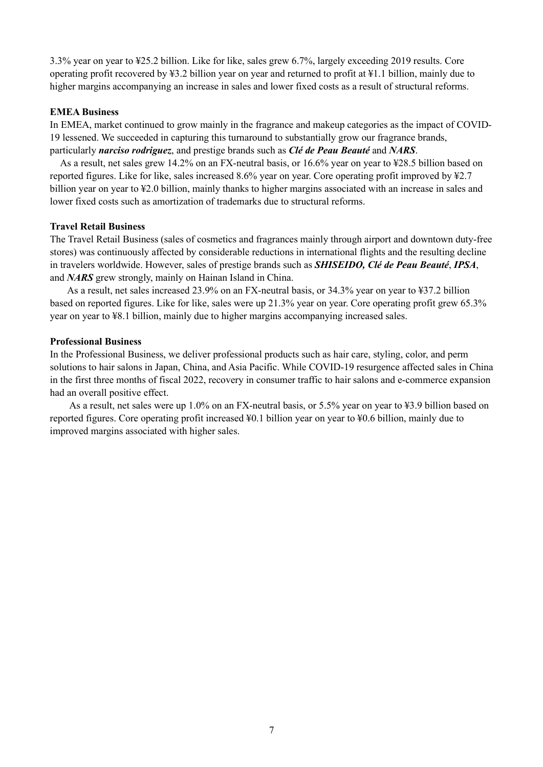3.3% year on year to ¥25.2 billion. Like for like, sales grew 6.7%, largely exceeding 2019 results. Core operating profit recovered by ¥3.2 billion year on year and returned to profit at ¥1.1 billion, mainly due to higher margins accompanying an increase in sales and lower fixed costs as a result of structural reforms.

### **EMEA Business**

In EMEA, market continued to grow mainly in the fragrance and makeup categories as the impact of COVID-19 lessened. We succeeded in capturing this turnaround to substantially grow our fragrance brands, particularly *narciso rodriguez*, and prestige brands such as *Clé de Peau Beauté* and *NARS*.

As a result, net sales grew 14.2% on an FX-neutral basis, or 16.6% year on year to ¥28.5 billion based on reported figures. Like for like, sales increased 8.6% year on year. Core operating profit improved by ¥2.7 billion year on year to ¥2.0 billion, mainly thanks to higher margins associated with an increase in sales and lower fixed costs such as amortization of trademarks due to structural reforms.

### **Travel Retail Business**

The Travel Retail Business (sales of cosmetics and fragrances mainly through airport and downtown duty-free stores) was continuously affected by considerable reductions in international flights and the resulting decline in travelers worldwide. However, sales of prestige brands such as *SHISEIDO, Clé de Peau Beauté*, *IPSA*, and *NARS* grew strongly, mainly on Hainan Island in China.

As a result, net sales increased 23.9% on an FX-neutral basis, or 34.3% year on year to ¥37.2 billion based on reported figures. Like for like, sales were up 21.3% year on year. Core operating profit grew 65.3% year on year to ¥8.1 billion, mainly due to higher margins accompanying increased sales.

### **Professional Business**

In the Professional Business, we deliver professional products such as hair care, styling, color, and perm solutions to hair salons in Japan, China, and Asia Pacific. While COVID-19 resurgence affected sales in China in the first three months of fiscal 2022, recovery in consumer traffic to hair salons and e-commerce expansion had an overall positive effect.

As a result, net sales were up 1.0% on an FX-neutral basis, or 5.5% year on year to ¥3.9 billion based on reported figures. Core operating profit increased ¥0.1 billion year on year to ¥0.6 billion, mainly due to improved margins associated with higher sales.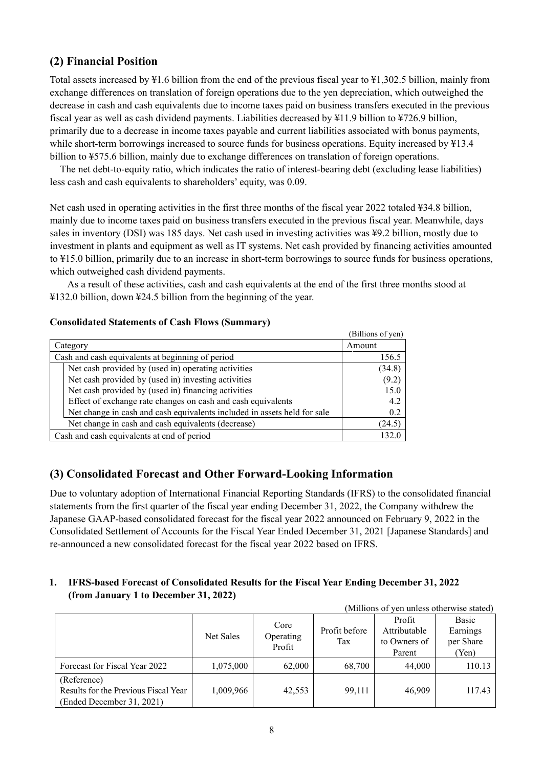## <span id="page-10-0"></span>**(2) Financial Position**

Total assets increased by ¥1.6 billion from the end of the previous fiscal year to ¥1,302.5 billion, mainly from exchange differences on translation of foreign operations due to the yen depreciation, which outweighed the decrease in cash and cash equivalents due to income taxes paid on business transfers executed in the previous fiscal year as well as cash dividend payments. Liabilities decreased by ¥11.9 billion to ¥726.9 billion, primarily due to a decrease in income taxes payable and current liabilities associated with bonus payments, while short-term borrowings increased to source funds for business operations. Equity increased by \\$13.4 billion to ¥575.6 billion, mainly due to exchange differences on translation of foreign operations.

The net debt-to-equity ratio, which indicates the ratio of interest-bearing debt (excluding lease liabilities) less cash and cash equivalents to shareholders' equity, was 0.09.

Net cash used in operating activities in the first three months of the fiscal year 2022 totaled ¥34.8 billion, mainly due to income taxes paid on business transfers executed in the previous fiscal year. Meanwhile, days sales in inventory (DSI) was 185 days. Net cash used in investing activities was ¥9.2 billion, mostly due to investment in plants and equipment as well as IT systems. Net cash provided by financing activities amounted to ¥15.0 billion, primarily due to an increase in short-term borrowings to source funds for business operations, which outweighed cash dividend payments.

As a result of these activities, cash and cash equivalents at the end of the first three months stood at ¥132.0 billion, down ¥24.5 billion from the beginning of the year.

|                                                                          | (Billions of yen) |
|--------------------------------------------------------------------------|-------------------|
| Category                                                                 | Amount            |
| Cash and cash equivalents at beginning of period                         | 156.5             |
| Net cash provided by (used in) operating activities                      | (34.8)            |
| Net cash provided by (used in) investing activities                      | (9.2)             |
| Net cash provided by (used in) financing activities                      | 15.0              |
| Effect of exchange rate changes on cash and cash equivalents             | 4.2               |
| Net change in cash and cash equivalents included in assets held for sale | 0.2               |
| Net change in cash and cash equivalents (decrease)                       | (24.5)            |
| Cash and cash equivalents at end of period                               | 132 1             |

### **Consolidated Statements of Cash Flows (Summary)**

# <span id="page-10-1"></span>**(3) Consolidated Forecast and Other Forward-Looking Information**

Due to voluntary adoption of International Financial Reporting Standards (IFRS) to the consolidated financial statements from the first quarter of the fiscal year ending December 31, 2022, the Company withdrew the Japanese GAAP-based consolidated forecast for the fiscal year 2022 announced on February 9, 2022 in the Consolidated Settlement of Accounts for the Fiscal Year Ended December 31, 2021 [Japanese Standards] and re-announced a new consolidated forecast for the fiscal year 2022 based on IFRS.

### **1. IFRS-based Forecast of Consolidated Results for the Fiscal Year Ending December 31, 2022 (from January 1 to December 31, 2022)**

| (Millions of yen unless otherwise stated)                                        |           |                             |                      |                                                  |                                         |  |
|----------------------------------------------------------------------------------|-----------|-----------------------------|----------------------|--------------------------------------------------|-----------------------------------------|--|
|                                                                                  | Net Sales | Core<br>Operating<br>Profit | Profit before<br>Tax | Profit<br>Attributable<br>to Owners of<br>Parent | Basic<br>Earnings<br>per Share<br>'Yen) |  |
| Forecast for Fiscal Year 2022                                                    | 1,075,000 | 62,000                      | 68,700               | 44,000                                           | 110.13                                  |  |
| (Reference)<br>Results for the Previous Fiscal Year<br>(Ended December 31, 2021) | 1,009,966 | 42,553                      | 99,111               | 46,909                                           | 117.43                                  |  |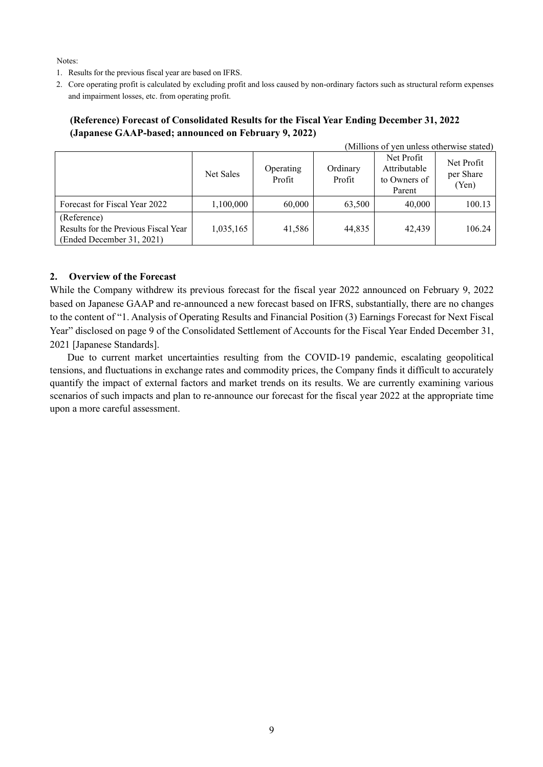Notes:

- 1. Results for the previous fiscal year are based on IFRS.
- 2. Core operating profit is calculated by excluding profit and loss caused by non-ordinary factors such as structural reform expenses and impairment losses, etc. from operating profit.

### **(Reference) Forecast of Consolidated Results for the Fiscal Year Ending December 31, 2022 (Japanese GAAP-based; announced on February 9, 2022)**

| (Millions of yen unless otherwise stated)                                        |           |                     |                    |                                                      |                                  |  |
|----------------------------------------------------------------------------------|-----------|---------------------|--------------------|------------------------------------------------------|----------------------------------|--|
|                                                                                  | Net Sales | Operating<br>Profit | Ordinary<br>Profit | Net Profit<br>Attributable<br>to Owners of<br>Parent | Net Profit<br>per Share<br>(Yen) |  |
| Forecast for Fiscal Year 2022                                                    | 1,100,000 | 60,000              | 63,500             | 40,000                                               | 100.13                           |  |
| (Reference)<br>Results for the Previous Fiscal Year<br>(Ended December 31, 2021) | 1,035,165 | 41.586              | 44,835             | 42.439                                               | 106.24                           |  |

### **2. Overview of the Forecast**

While the Company withdrew its previous forecast for the fiscal year 2022 announced on February 9, 2022 based on Japanese GAAP and re-announced a new forecast based on IFRS, substantially, there are no changes to the content of "1. Analysis of Operating Results and Financial Position (3) Earnings Forecast for Next Fiscal Year" disclosed on page 9 of the Consolidated Settlement of Accounts for the Fiscal Year Ended December 31, 2021 [Japanese Standards].

Due to current market uncertainties resulting from the COVID-19 pandemic, escalating geopolitical tensions, and fluctuations in exchange rates and commodity prices, the Company finds it difficult to accurately quantify the impact of external factors and market trends on its results. We are currently examining various scenarios of such impacts and plan to re-announce our forecast for the fiscal year 2022 at the appropriate time upon a more careful assessment.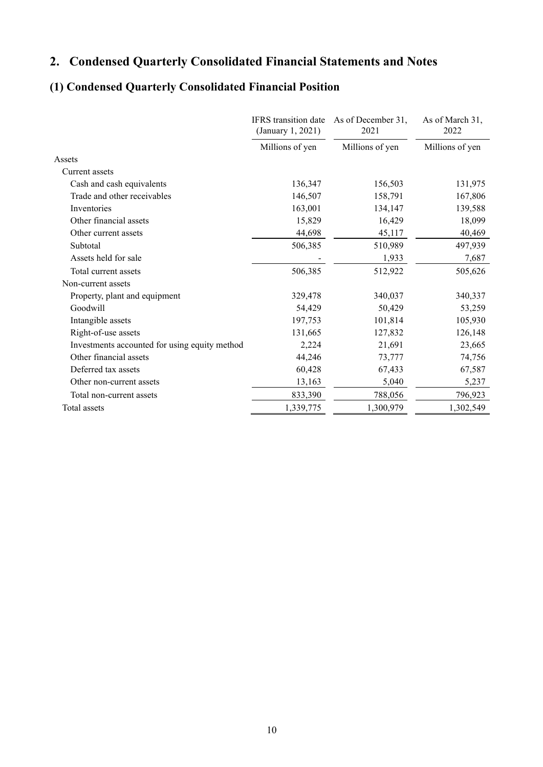# <span id="page-12-0"></span>**2. Condensed Quarterly Consolidated Financial Statements and Notes**

# <span id="page-12-1"></span>**(1) Condensed Quarterly Consolidated Financial Position**

|                                               | <b>IFRS</b> transition date<br>(January 1, 2021) | As of December 31,<br>2021 | As of March 31,<br>2022 |
|-----------------------------------------------|--------------------------------------------------|----------------------------|-------------------------|
|                                               | Millions of yen                                  | Millions of yen            | Millions of yen         |
| Assets                                        |                                                  |                            |                         |
| Current assets                                |                                                  |                            |                         |
| Cash and cash equivalents                     | 136,347                                          | 156,503                    | 131,975                 |
| Trade and other receivables                   | 146,507                                          | 158,791                    | 167,806                 |
| Inventories                                   | 163,001                                          | 134,147                    | 139,588                 |
| Other financial assets                        | 15,829                                           | 16,429                     | 18,099                  |
| Other current assets                          | 44,698                                           | 45,117                     | 40,469                  |
| Subtotal                                      | 506,385                                          | 510,989                    | 497,939                 |
| Assets held for sale                          |                                                  | 1,933                      | 7,687                   |
| Total current assets                          | 506,385                                          | 512,922                    | 505,626                 |
| Non-current assets                            |                                                  |                            |                         |
| Property, plant and equipment                 | 329,478                                          | 340,037                    | 340,337                 |
| Goodwill                                      | 54,429                                           | 50,429                     | 53,259                  |
| Intangible assets                             | 197,753                                          | 101,814                    | 105,930                 |
| Right-of-use assets                           | 131,665                                          | 127,832                    | 126,148                 |
| Investments accounted for using equity method | 2,224                                            | 21,691                     | 23,665                  |
| Other financial assets                        | 44,246                                           | 73,777                     | 74,756                  |
| Deferred tax assets                           | 60,428                                           | 67,433                     | 67,587                  |
| Other non-current assets                      | 13,163                                           | 5,040                      | 5,237                   |
| Total non-current assets                      | 833,390                                          | 788,056                    | 796,923                 |
| Total assets                                  | 1,339,775                                        | 1,300,979                  | 1,302,549               |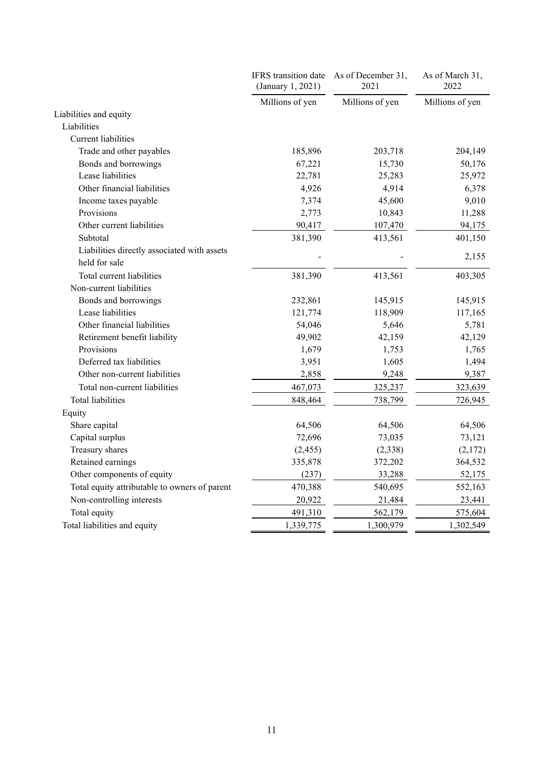|                                               | IFRS transition date<br>(January 1, 2021) | As of December 31,<br>2021 | As of March 31,<br>2022 |
|-----------------------------------------------|-------------------------------------------|----------------------------|-------------------------|
|                                               | Millions of yen                           | Millions of yen            | Millions of yen         |
| Liabilities and equity                        |                                           |                            |                         |
| Liabilities                                   |                                           |                            |                         |
| Current liabilities                           |                                           |                            |                         |
| Trade and other payables                      | 185,896                                   | 203,718                    | 204,149                 |
| Bonds and borrowings                          | 67,221                                    | 15,730                     | 50,176                  |
| Lease liabilities                             | 22,781                                    | 25,283                     | 25,972                  |
| Other financial liabilities                   | 4,926                                     | 4,914                      | 6,378                   |
| Income taxes payable                          | 7,374                                     | 45,600                     | 9,010                   |
| Provisions                                    | 2,773                                     | 10,843                     | 11,288                  |
| Other current liabilities                     | 90,417                                    | 107,470                    | 94,175                  |
| Subtotal                                      | 381,390                                   | 413,561                    | 401,150                 |
| Liabilities directly associated with assets   |                                           |                            |                         |
| held for sale                                 |                                           |                            | 2,155                   |
| Total current liabilities                     | 381,390                                   | 413,561                    | 403,305                 |
| Non-current liabilities                       |                                           |                            |                         |
| Bonds and borrowings                          | 232,861                                   | 145,915                    | 145,915                 |
| Lease liabilities                             | 121,774                                   | 118,909                    | 117,165                 |
| Other financial liabilities                   | 54,046                                    | 5,646                      | 5,781                   |
| Retirement benefit liability                  | 49,902                                    | 42,159                     | 42,129                  |
| Provisions                                    | 1,679                                     | 1,753                      | 1,765                   |
| Deferred tax liabilities                      | 3,951                                     | 1,605                      | 1,494                   |
| Other non-current liabilities                 | 2,858                                     | 9,248                      | 9,387                   |
| Total non-current liabilities                 | 467,073                                   | 325,237                    | 323,639                 |
| <b>Total liabilities</b>                      | 848,464                                   | 738,799                    | 726,945                 |
| Equity                                        |                                           |                            |                         |
| Share capital                                 | 64,506                                    | 64,506                     | 64,506                  |
| Capital surplus                               | 72,696                                    | 73,035                     | 73,121                  |
| Treasury shares                               | (2, 455)                                  | (2,338)                    | (2,172)                 |
| Retained earnings                             | 335,878                                   | 372,202                    | 364,532                 |
| Other components of equity                    | (237)                                     | 33,288                     | 52,175                  |
| Total equity attributable to owners of parent | 470,388                                   | 540,695                    | 552,163                 |
| Non-controlling interests                     | 20,922                                    | 21,484                     | 23,441                  |
| Total equity                                  | 491,310                                   | 562,179                    | 575,604                 |
| Total liabilities and equity                  | 1,339,775                                 | 1,300,979                  | 1,302,549               |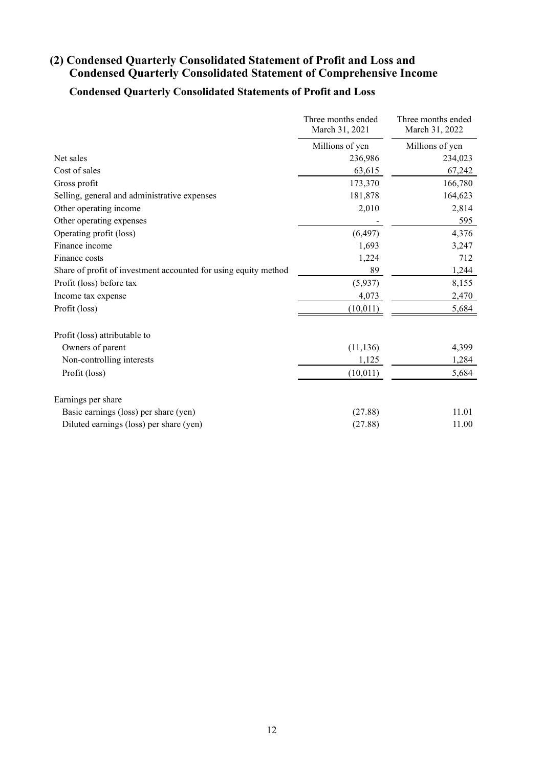# <span id="page-14-0"></span>**(2) Condensed Quarterly Consolidated Statement of Profit and Loss and Condensed Quarterly Consolidated Statement of Comprehensive Income**

# **Condensed Quarterly Consolidated Statements of Profit and Loss**

|                                                                 | Three months ended<br>March 31, 2021 | Three months ended<br>March 31, 2022 |
|-----------------------------------------------------------------|--------------------------------------|--------------------------------------|
|                                                                 | Millions of yen                      | Millions of yen                      |
| Net sales                                                       | 236,986                              | 234,023                              |
| Cost of sales                                                   | 63,615                               | 67,242                               |
| Gross profit                                                    | 173,370                              | 166,780                              |
| Selling, general and administrative expenses                    | 181,878                              | 164,623                              |
| Other operating income                                          | 2,010                                | 2,814                                |
| Other operating expenses                                        |                                      | 595                                  |
| Operating profit (loss)                                         | (6, 497)                             | 4,376                                |
| Finance income                                                  | 1,693                                | 3,247                                |
| Finance costs                                                   | 1,224                                | 712                                  |
| Share of profit of investment accounted for using equity method | 89                                   | 1,244                                |
| Profit (loss) before tax                                        | (5,937)                              | 8,155                                |
| Income tax expense                                              | 4,073                                | 2,470                                |
| Profit (loss)                                                   | (10, 011)                            | 5,684                                |
| Profit (loss) attributable to                                   |                                      |                                      |
| Owners of parent                                                | (11, 136)                            | 4,399                                |
| Non-controlling interests                                       | 1,125                                | 1,284                                |
| Profit (loss)                                                   | (10, 011)                            | 5,684                                |
| Earnings per share                                              |                                      |                                      |
| Basic earnings (loss) per share (yen)                           | (27.88)                              | 11.01                                |
| Diluted earnings (loss) per share (yen)                         | (27.88)                              | 11.00                                |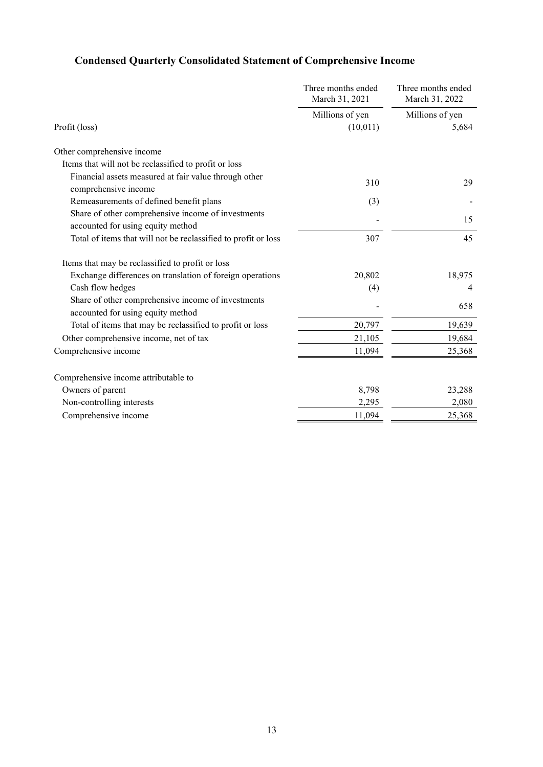|                                                                                         | Three months ended<br>March 31, 2021 | Three months ended<br>March 31, 2022 |  |
|-----------------------------------------------------------------------------------------|--------------------------------------|--------------------------------------|--|
| Profit (loss)                                                                           | Millions of yen<br>(10, 011)         | Millions of yen<br>5,684             |  |
| Other comprehensive income                                                              |                                      |                                      |  |
| Items that will not be reclassified to profit or loss                                   |                                      |                                      |  |
| Financial assets measured at fair value through other<br>comprehensive income           | 310                                  | 29                                   |  |
| Remeasurements of defined benefit plans                                                 | (3)                                  |                                      |  |
| Share of other comprehensive income of investments<br>accounted for using equity method |                                      | 15                                   |  |
| Total of items that will not be reclassified to profit or loss                          | 307                                  | 45                                   |  |
| Items that may be reclassified to profit or loss                                        |                                      |                                      |  |
| Exchange differences on translation of foreign operations                               | 20,802                               | 18,975                               |  |
| Cash flow hedges                                                                        | (4)                                  | 4                                    |  |
| Share of other comprehensive income of investments<br>accounted for using equity method |                                      | 658                                  |  |
| Total of items that may be reclassified to profit or loss                               | 20,797                               | 19,639                               |  |
| Other comprehensive income, net of tax                                                  | 21,105                               | 19,684                               |  |
| Comprehensive income                                                                    | 11,094                               | 25,368                               |  |
| Comprehensive income attributable to                                                    |                                      |                                      |  |
| Owners of parent                                                                        | 8,798                                | 23,288                               |  |
| Non-controlling interests                                                               | 2,295                                | 2,080                                |  |
| Comprehensive income                                                                    | 11,094                               | 25,368                               |  |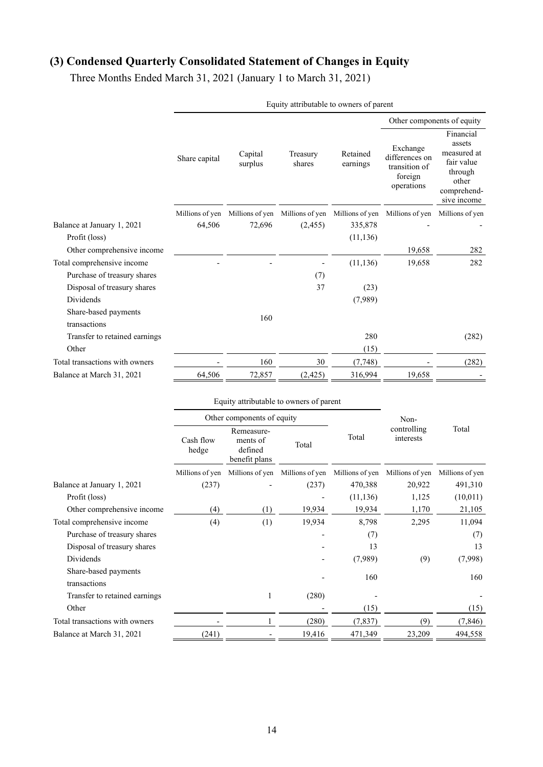# <span id="page-16-0"></span>**(3) Condensed Quarterly Consolidated Statement of Changes in Equity**

Three Months Ended March 31, 2021 (January 1 to March 31, 2021)

|                                      |                 |                    |                                                 |                      |                                                                      | Other components of equity                                                                         |
|--------------------------------------|-----------------|--------------------|-------------------------------------------------|----------------------|----------------------------------------------------------------------|----------------------------------------------------------------------------------------------------|
|                                      | Share capital   | Capital<br>surplus | Treasury<br>shares                              | Retained<br>earnings | Exchange<br>differences on<br>transition of<br>foreign<br>operations | Financial<br>assets<br>measured at<br>fair value<br>through<br>other<br>comprehend-<br>sive income |
|                                      | Millions of yen |                    | Millions of yen Millions of yen Millions of yen |                      | Millions of yen                                                      | Millions of yen                                                                                    |
| Balance at January 1, 2021           | 64,506          | 72,696             | (2,455)                                         | 335,878              |                                                                      |                                                                                                    |
| Profit (loss)                        |                 |                    |                                                 | (11, 136)            |                                                                      |                                                                                                    |
| Other comprehensive income           |                 |                    |                                                 |                      | 19,658                                                               | 282                                                                                                |
| Total comprehensive income           |                 |                    |                                                 | (11, 136)            | 19,658                                                               | 282                                                                                                |
| Purchase of treasury shares          |                 |                    | (7)                                             |                      |                                                                      |                                                                                                    |
| Disposal of treasury shares          |                 |                    | 37                                              | (23)                 |                                                                      |                                                                                                    |
| Dividends                            |                 |                    |                                                 | (7,989)              |                                                                      |                                                                                                    |
| Share-based payments<br>transactions |                 | 160                |                                                 |                      |                                                                      |                                                                                                    |
| Transfer to retained earnings        |                 |                    |                                                 | 280                  |                                                                      | (282)                                                                                              |
| Other                                |                 |                    |                                                 | (15)                 |                                                                      |                                                                                                    |
| Total transactions with owners       |                 | 160                | 30                                              | (7, 748)             |                                                                      | (282)                                                                                              |
| Balance at March 31, 2021            | 64,506          | 72,857             | (2, 425)                                        | 316,994              | 19,658                                                               |                                                                                                    |
|                                      |                 |                    | Equity attributable to owners of parent         |                      |                                                                      |                                                                                                    |

| Equity attributable to owners of parent |  |
|-----------------------------------------|--|
|-----------------------------------------|--|

|                                      | Equity antifoundly to owners of parent |                                                    |                 |                 |                          |                 |  |
|--------------------------------------|----------------------------------------|----------------------------------------------------|-----------------|-----------------|--------------------------|-----------------|--|
|                                      | Other components of equity             |                                                    |                 |                 | Non-                     |                 |  |
|                                      | Cash flow<br>hedge                     | Remeasure-<br>ments of<br>defined<br>benefit plans | Total           | Total           | controlling<br>interests | Total           |  |
|                                      | Millions of yen                        | Millions of yen                                    | Millions of yen | Millions of yen | Millions of yen          | Millions of yen |  |
| Balance at January 1, 2021           | (237)                                  |                                                    | (237)           | 470,388         | 20,922                   | 491,310         |  |
| Profit (loss)                        |                                        |                                                    |                 | (11, 136)       | 1,125                    | (10,011)        |  |
| Other comprehensive income           | (4)                                    | (1)                                                | 19,934          | 19,934          | 1,170                    | 21,105          |  |
| Total comprehensive income           | (4)                                    | (1)                                                | 19,934          | 8,798           | 2,295                    | 11,094          |  |
| Purchase of treasury shares          |                                        |                                                    |                 | (7)             |                          | (7)             |  |
| Disposal of treasury shares          |                                        |                                                    |                 | 13              |                          | 13              |  |
| Dividends                            |                                        |                                                    |                 | (7,989)         | (9)                      | (7,998)         |  |
| Share-based payments<br>transactions |                                        |                                                    |                 | 160             |                          | 160             |  |
| Transfer to retained earnings        |                                        |                                                    | (280)           |                 |                          |                 |  |
| Other                                |                                        |                                                    |                 | (15)            |                          | (15)            |  |
| Total transactions with owners       |                                        |                                                    | (280)           | (7, 837)        | (9)                      | (7, 846)        |  |
| Balance at March 31, 2021            | (241)                                  |                                                    | 19,416          | 471,349         | 23,209                   | 494,558         |  |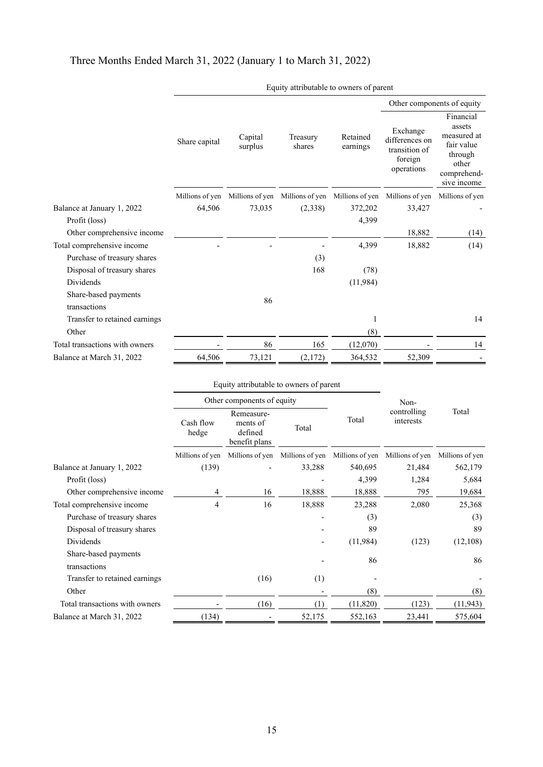# Three Months Ended March 31, 2022 (January 1 to March 31, 2022)

|                                |                 |                    |                                                 |                      |                                                                      | Other components of equity                                                                         |
|--------------------------------|-----------------|--------------------|-------------------------------------------------|----------------------|----------------------------------------------------------------------|----------------------------------------------------------------------------------------------------|
|                                | Share capital   | Capital<br>surplus | Treasury<br>shares                              | Retained<br>earnings | Exchange<br>differences on<br>transition of<br>foreign<br>operations | Financial<br>assets<br>measured at<br>fair value<br>through<br>other<br>comprehend-<br>sive income |
|                                | Millions of yen |                    | Millions of yen Millions of yen Millions of yen |                      | Millions of yen                                                      | Millions of yen                                                                                    |
| Balance at January 1, 2022     | 64,506          | 73,035             | (2,338)                                         | 372,202              | 33,427                                                               |                                                                                                    |
| Profit (loss)                  |                 |                    |                                                 | 4,399                |                                                                      |                                                                                                    |
| Other comprehensive income     |                 |                    |                                                 |                      | 18,882                                                               | (14)                                                                                               |
| Total comprehensive income     |                 |                    |                                                 | 4,399                | 18,882                                                               | (14)                                                                                               |
| Purchase of treasury shares    |                 |                    | (3)                                             |                      |                                                                      |                                                                                                    |
| Disposal of treasury shares    |                 |                    | 168                                             | (78)                 |                                                                      |                                                                                                    |
| Dividends                      |                 |                    |                                                 | (11, 984)            |                                                                      |                                                                                                    |
| Share-based payments           |                 | 86                 |                                                 |                      |                                                                      |                                                                                                    |
| transactions                   |                 |                    |                                                 |                      |                                                                      |                                                                                                    |
| Transfer to retained earnings  |                 |                    |                                                 | 1                    |                                                                      | 14                                                                                                 |
| Other                          |                 |                    |                                                 | (8)                  |                                                                      |                                                                                                    |
| Total transactions with owners |                 | 86                 | 165                                             | (12,070)             |                                                                      | 14                                                                                                 |
| Balance at March 31, 2022      | 64,506          | 73,121             | (2,172)                                         | 364,532              | 52,309                                                               |                                                                                                    |
|                                |                 |                    |                                                 |                      |                                                                      |                                                                                                    |

Equity attributable to owners of parent

|                                      |                    | Equity attributable to owners of parent            |                 |                 |                          |                 |  |
|--------------------------------------|--------------------|----------------------------------------------------|-----------------|-----------------|--------------------------|-----------------|--|
|                                      |                    | Other components of equity                         |                 |                 | Non-                     |                 |  |
|                                      | Cash flow<br>hedge | Remeasure-<br>ments of<br>defined<br>benefit plans | Total<br>Total  |                 | controlling<br>interests | Total           |  |
|                                      | Millions of yen    | Millions of yen                                    | Millions of yen | Millions of yen | Millions of yen          | Millions of yen |  |
| Balance at January 1, 2022           | (139)              |                                                    | 33,288          | 540,695         | 21,484                   | 562,179         |  |
| Profit (loss)                        |                    |                                                    |                 | 4,399           | 1,284                    | 5,684           |  |
| Other comprehensive income           | 4                  | 16                                                 | 18,888          | 18,888          | 795                      | 19,684          |  |
| Total comprehensive income           | 4                  | 16                                                 | 18,888          | 23,288          | 2,080                    | 25,368          |  |
| Purchase of treasury shares          |                    |                                                    |                 | (3)             |                          | (3)             |  |
| Disposal of treasury shares          |                    |                                                    |                 | 89              |                          | 89              |  |
| Dividends                            |                    |                                                    |                 | (11,984)        | (123)                    | (12,108)        |  |
| Share-based payments<br>transactions |                    |                                                    |                 | 86              |                          | 86              |  |
| Transfer to retained earnings        |                    | (16)                                               | (1)             |                 |                          |                 |  |
| Other                                |                    |                                                    |                 | (8)             |                          | (8)             |  |
| Total transactions with owners       |                    | (16)                                               | (1)             | (11, 820)       | (123)                    | (11, 943)       |  |
| Balance at March 31, 2022            | (134)              |                                                    | 52,175          | 552,163         | 23,441                   | 575,604         |  |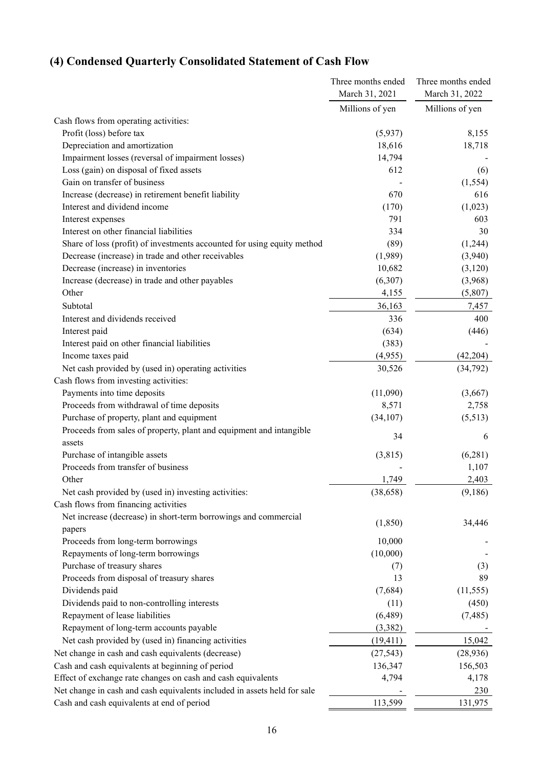# <span id="page-18-0"></span>**(4) Condensed Quarterly Consolidated Statement of Cash Flow**

|                                                                          | Three months ended | Three months ended |  |
|--------------------------------------------------------------------------|--------------------|--------------------|--|
|                                                                          | March 31, 2021     | March 31, 2022     |  |
|                                                                          | Millions of yen    | Millions of yen    |  |
| Cash flows from operating activities:                                    |                    |                    |  |
| Profit (loss) before tax                                                 | (5,937)            | 8,155              |  |
| Depreciation and amortization                                            | 18,616             | 18,718             |  |
| Impairment losses (reversal of impairment losses)                        | 14,794             |                    |  |
| Loss (gain) on disposal of fixed assets                                  | 612                | (6)                |  |
| Gain on transfer of business                                             |                    | (1, 554)           |  |
| Increase (decrease) in retirement benefit liability                      | 670                | 616                |  |
| Interest and dividend income                                             | (170)              | (1,023)            |  |
| Interest expenses                                                        | 791                | 603                |  |
| Interest on other financial liabilities                                  | 334                | 30                 |  |
| Share of loss (profit) of investments accounted for using equity method  | (89)               | (1,244)            |  |
| Decrease (increase) in trade and other receivables                       | (1,989)            | (3,940)            |  |
| Decrease (increase) in inventories                                       | 10,682             | (3,120)            |  |
| Increase (decrease) in trade and other payables                          | (6,307)            | (3,968)            |  |
| Other                                                                    | 4,155              | (5,807)            |  |
| Subtotal                                                                 | 36,163             | 7,457              |  |
| Interest and dividends received                                          | 336                | 400                |  |
| Interest paid                                                            | (634)              | (446)              |  |
| Interest paid on other financial liabilities                             | (383)              |                    |  |
| Income taxes paid                                                        | (4,955)            | (42, 204)          |  |
| Net cash provided by (used in) operating activities                      | 30,526             | (34, 792)          |  |
| Cash flows from investing activities:                                    |                    |                    |  |
| Payments into time deposits                                              | (11,090)           | (3,667)            |  |
| Proceeds from withdrawal of time deposits                                | 8,571              | 2,758              |  |
| Purchase of property, plant and equipment                                | (34, 107)          | (5,513)            |  |
| Proceeds from sales of property, plant and equipment and intangible      |                    |                    |  |
| assets                                                                   | 34                 | 6                  |  |
| Purchase of intangible assets                                            | (3,815)            | (6, 281)           |  |
| Proceeds from transfer of business                                       |                    | 1,107              |  |
| Other                                                                    | 1,749              | 2,403              |  |
| Net cash provided by (used in) investing activities:                     | (38, 658)          | (9,186)            |  |
| Cash flows from financing activities                                     |                    |                    |  |
| Net increase (decrease) in short-term borrowings and commercial          |                    |                    |  |
| papers                                                                   | (1, 850)           | 34,446             |  |
| Proceeds from long-term borrowings                                       | 10,000             |                    |  |
| Repayments of long-term borrowings                                       | (10,000)           |                    |  |
| Purchase of treasury shares                                              | (7)                | (3)                |  |
| Proceeds from disposal of treasury shares                                | 13                 | 89                 |  |
| Dividends paid                                                           | (7,684)            | (11, 555)          |  |
| Dividends paid to non-controlling interests                              | (11)               | (450)              |  |
| Repayment of lease liabilities                                           | (6,489)            | (7, 485)           |  |
| Repayment of long-term accounts payable                                  | (3,382)            |                    |  |
| Net cash provided by (used in) financing activities                      | (19, 411)          | 15,042             |  |
| Net change in cash and cash equivalents (decrease)                       | (27, 543)          | (28, 936)          |  |
| Cash and cash equivalents at beginning of period                         | 136,347            | 156,503            |  |
| Effect of exchange rate changes on cash and cash equivalents             | 4,794              | 4,178              |  |
| Net change in cash and cash equivalents included in assets held for sale |                    | 230                |  |
| Cash and cash equivalents at end of period                               | 113,599            | 131,975            |  |
|                                                                          |                    |                    |  |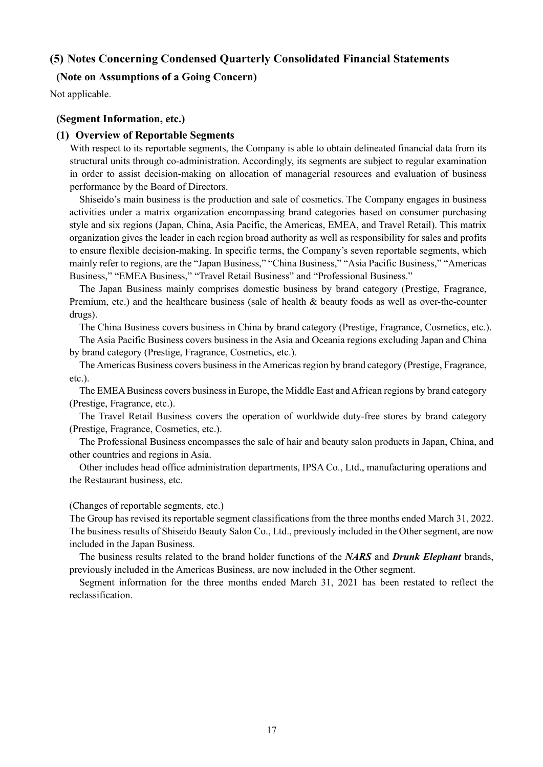### <span id="page-19-0"></span>**(5) Notes Concerning Condensed Quarterly Consolidated Financial Statements**

### <span id="page-19-1"></span>**(Note on Assumptions of a Going Concern)**

Not applicable.

### <span id="page-19-2"></span>**(Segment Information, etc.)**

### **(1) Overview of Reportable Segments**

With respect to its reportable segments, the Company is able to obtain delineated financial data from its structural units through co-administration. Accordingly, its segments are subject to regular examination in order to assist decision-making on allocation of managerial resources and evaluation of business performance by the Board of Directors.

Shiseido's main business is the production and sale of cosmetics. The Company engages in business activities under a matrix organization encompassing brand categories based on consumer purchasing style and six regions (Japan, China, Asia Pacific, the Americas, EMEA, and Travel Retail). This matrix organization gives the leader in each region broad authority as well as responsibility for sales and profits to ensure flexible decision-making. In specific terms, the Company's seven reportable segments, which mainly refer to regions, are the "Japan Business," "China Business," "Asia Pacific Business," "Americas Business," "EMEA Business," "Travel Retail Business" and "Professional Business."

The Japan Business mainly comprises domestic business by brand category (Prestige, Fragrance, Premium, etc.) and the healthcare business (sale of health & beauty foods as well as over-the-counter drugs).

The China Business covers business in China by brand category (Prestige, Fragrance, Cosmetics, etc.).

The Asia Pacific Business covers business in the Asia and Oceania regions excluding Japan and China by brand category (Prestige, Fragrance, Cosmetics, etc.).

The Americas Business covers business in the Americas region by brand category (Prestige, Fragrance, etc.).

The EMEA Business covers business in Europe, the Middle East and African regions by brand category (Prestige, Fragrance, etc.).

The Travel Retail Business covers the operation of worldwide duty-free stores by brand category (Prestige, Fragrance, Cosmetics, etc.).

The Professional Business encompasses the sale of hair and beauty salon products in Japan, China, and other countries and regions in Asia.

Other includes head office administration departments, IPSA Co., Ltd., manufacturing operations and the Restaurant business, etc.

### (Changes of reportable segments, etc.)

The Group has revised its reportable segment classifications from the three months ended March 31, 2022. The business results of Shiseido Beauty Salon Co., Ltd., previously included in the Other segment, are now included in the Japan Business.

The business results related to the brand holder functions of the *NARS* and *Drunk Elephant* brands, previously included in the Americas Business, are now included in the Other segment.

Segment information for the three months ended March 31, 2021 has been restated to reflect the reclassification.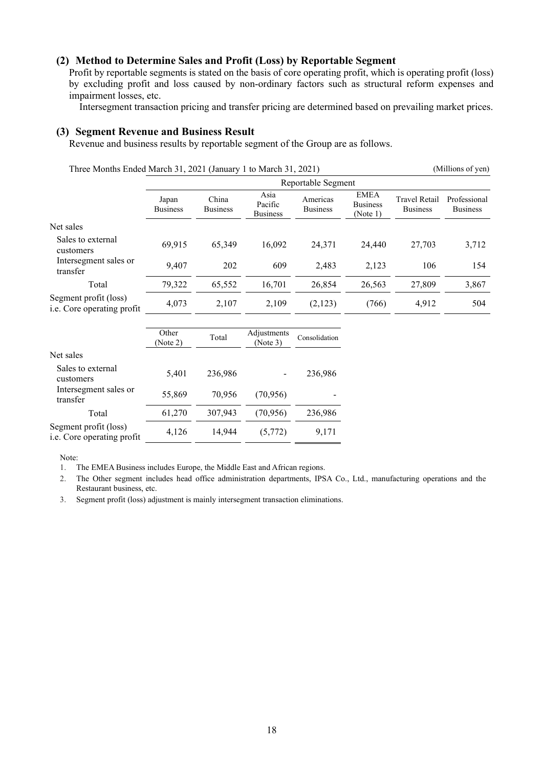### **(2) Method to Determine Sales and Profit (Loss) by Reportable Segment**

Profit by reportable segments is stated on the basis of core operating profit, which is operating profit (loss) by excluding profit and loss caused by non-ordinary factors such as structural reform expenses and impairment losses, etc.

Intersegment transaction pricing and transfer pricing are determined based on prevailing market prices.

### **(3) Segment Revenue and Business Result**

Revenue and business results by reportable segment of the Group are as follows.

Three Months Ended March 31, 2021 (January 1 to March 31, 2021) (Millions of yen)

|                                                            | Reportable Segment       |                          |                                    |                             |                                            |                                         |                                 |  |  |
|------------------------------------------------------------|--------------------------|--------------------------|------------------------------------|-----------------------------|--------------------------------------------|-----------------------------------------|---------------------------------|--|--|
|                                                            | Japan<br><b>Business</b> | China<br><b>Business</b> | Asia<br>Pacific<br><b>Business</b> | Americas<br><b>Business</b> | <b>EMEA</b><br><b>Business</b><br>(Note 1) | <b>Travel Retail</b><br><b>Business</b> | Professional<br><b>Business</b> |  |  |
| Net sales                                                  |                          |                          |                                    |                             |                                            |                                         |                                 |  |  |
| Sales to external<br>customers                             | 69.915                   | 65,349                   | 16,092                             | 24,371                      | 24,440                                     | 27,703                                  | 3,712                           |  |  |
| Intersegment sales or<br>transfer                          | 9.407                    | 202                      | 609                                | 2.483                       | 2,123                                      | 106                                     | 154                             |  |  |
| Total                                                      | 79,322                   | 65,552                   | 16,701                             | 26,854                      | 26,563                                     | 27,809                                  | 3,867                           |  |  |
| Segment profit (loss)<br><i>i.e.</i> Core operating profit | 4,073                    | 2,107                    | 2,109                              | (2,123)                     | (766)                                      | 4,912                                   | 504                             |  |  |

|                                                     | Other<br>(Note 2) | Total   | Adjustments<br>(Note 3) | Consolidation |
|-----------------------------------------------------|-------------------|---------|-------------------------|---------------|
| Net sales                                           |                   |         |                         |               |
| Sales to external<br>customers                      | 5,401             | 236,986 |                         | 236,986       |
| Intersegment sales or<br>transfer                   | 55,869            | 70,956  | (70, 956)               |               |
| Total                                               | 61,270            | 307,943 | (70, 956)               | 236,986       |
| Segment profit (loss)<br>i.e. Core operating profit | 4,126             | 14,944  | (5,772)                 | 9,171         |

Note:

1. The EMEA Business includes Europe, the Middle East and African regions.

2. The Other segment includes head office administration departments, IPSA Co., Ltd., manufacturing operations and the Restaurant business, etc.

3. Segment profit (loss) adjustment is mainly intersegment transaction eliminations.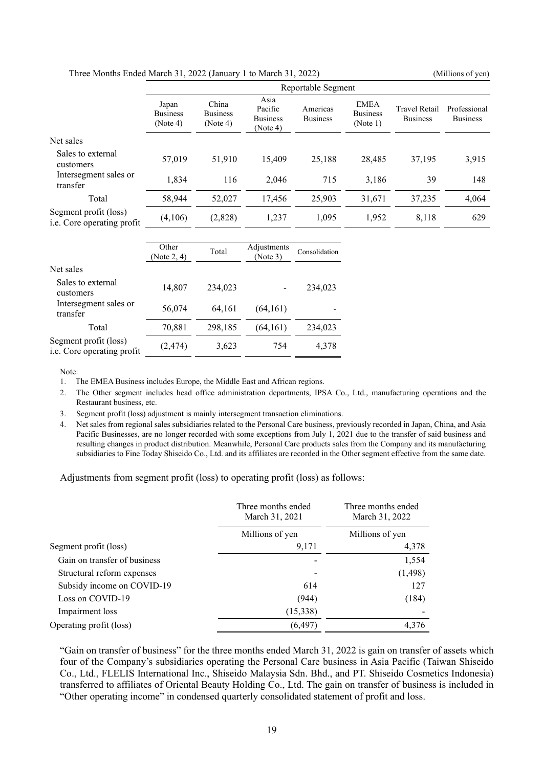| THE PRODUCE DRUG INDICE 21, 2022 (January T to Indich 21, 2022) |                                      |                                      |                                                |                             |                                            |                                         |                                 |  |
|-----------------------------------------------------------------|--------------------------------------|--------------------------------------|------------------------------------------------|-----------------------------|--------------------------------------------|-----------------------------------------|---------------------------------|--|
|                                                                 | Reportable Segment                   |                                      |                                                |                             |                                            |                                         |                                 |  |
|                                                                 | Japan<br><b>Business</b><br>(Note 4) | China<br><b>Business</b><br>(Note 4) | Asia<br>Pacific<br><b>Business</b><br>(Note 4) | Americas<br><b>Business</b> | <b>EMEA</b><br><b>Business</b><br>(Note 1) | <b>Travel Retail</b><br><b>Business</b> | Professional<br><b>Business</b> |  |
| Net sales                                                       |                                      |                                      |                                                |                             |                                            |                                         |                                 |  |
| Sales to external<br>customers                                  | 57,019                               | 51,910                               | 15,409                                         | 25,188                      | 28,485                                     | 37,195                                  | 3,915                           |  |
| Intersegment sales or<br>transfer                               | 1,834                                | 116                                  | 2,046                                          | 715                         | 3,186                                      | 39                                      | 148                             |  |
| Total                                                           | 58,944                               | 52,027                               | 17,456                                         | 25,903                      | 31,671                                     | 37,235                                  | 4,064                           |  |
| Segment profit (loss)<br>i.e. Core operating profit             | (4,106)                              | (2,828)                              | 1,237                                          | 1,095                       | 1,952                                      | 8,118                                   | 629                             |  |
|                                                                 | Other<br>(Note 2, 4)                 | Total                                | Adjustments<br>(Note 3)                        | Consolidation               |                                            |                                         |                                 |  |
| Net sales                                                       |                                      |                                      |                                                |                             |                                            |                                         |                                 |  |
| Sales to external<br>customers                                  | 14,807                               | 234,023                              |                                                | 234,023                     |                                            |                                         |                                 |  |
| Intersegment sales or<br>transfer                               | 56,074                               | 64,161                               | (64,161)                                       |                             |                                            |                                         |                                 |  |

Three Months Ended March 31, 2022 (January 1 to March 31, 2022) (Millions of yen)

Segment profit (loss)

1. The EMEA Business includes Europe, the Middle East and African regions.

Ei.e. Core operating profit (2,474)  $3,623$  754  $4,378$ <br>i.e. Core operating profit

2. The Other segment includes head office administration departments, IPSA Co., Ltd., manufacturing operations and the Restaurant business, etc.

3. Segment profit (loss) adjustment is mainly intersegment transaction eliminations.

Total 70,881 298,185 (64,161) 234,023

4. Net sales from regional sales subsidiaries related to the Personal Care business, previously recorded in Japan, China, and Asia Pacific Businesses, are no longer recorded with some exceptions from July 1, 2021 due to the transfer of said business and resulting changes in product distribution. Meanwhile, Personal Care products sales from the Company and its manufacturing subsidiaries to Fine Today Shiseido Co., Ltd. and its affiliates are recorded in the Other segment effective from the same date.

Adjustments from segment profit (loss) to operating profit (loss) as follows:

|                              | Three months ended<br>March 31, 2021 | Three months ended<br>March 31, 2022 |  |
|------------------------------|--------------------------------------|--------------------------------------|--|
|                              | Millions of yen                      | Millions of yen                      |  |
| Segment profit (loss)        | 9,171                                | 4,378                                |  |
| Gain on transfer of business |                                      | 1,554                                |  |
| Structural reform expenses   |                                      | (1, 498)                             |  |
| Subsidy income on COVID-19   | 614                                  | 127                                  |  |
| Loss on COVID-19             | (944)                                | (184)                                |  |
| Impairment loss              | (15,338)                             |                                      |  |
| Operating profit (loss)      | (6, 497)                             | 4,376                                |  |

"Gain on transfer of business" for the three months ended March 31, 2022 is gain on transfer of assets which four of the Company's subsidiaries operating the Personal Care business in Asia Pacific (Taiwan Shiseido Co., Ltd., FLELIS International Inc., Shiseido Malaysia Sdn. Bhd., and PT. Shiseido Cosmetics Indonesia) transferred to affiliates of Oriental Beauty Holding Co., Ltd. The gain on transfer of business is included in "Other operating income" in condensed quarterly consolidated statement of profit and loss.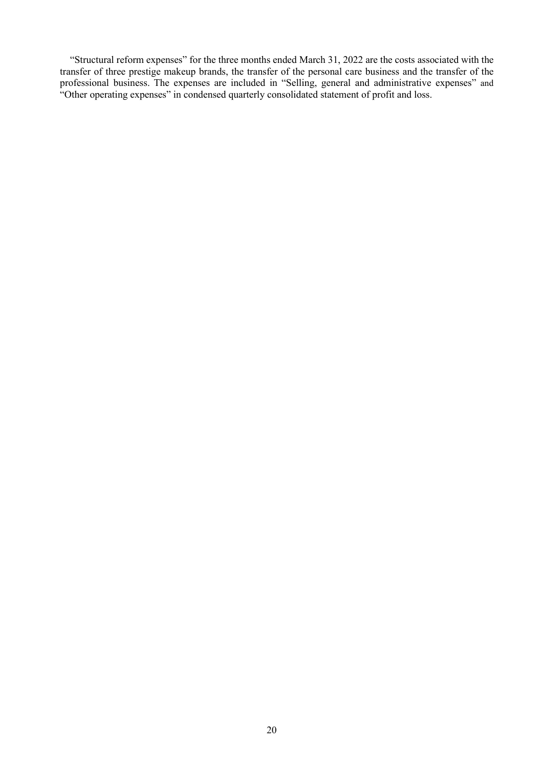"Structural reform expenses" for the three months ended March 31, 2022 are the costs associated with the transfer of three prestige makeup brands, the transfer of the personal care business and the transfer of the professional business. The expenses are included in "Selling, general and administrative expenses" and "Other operating expenses" in condensed quarterly consolidated statement of profit and loss.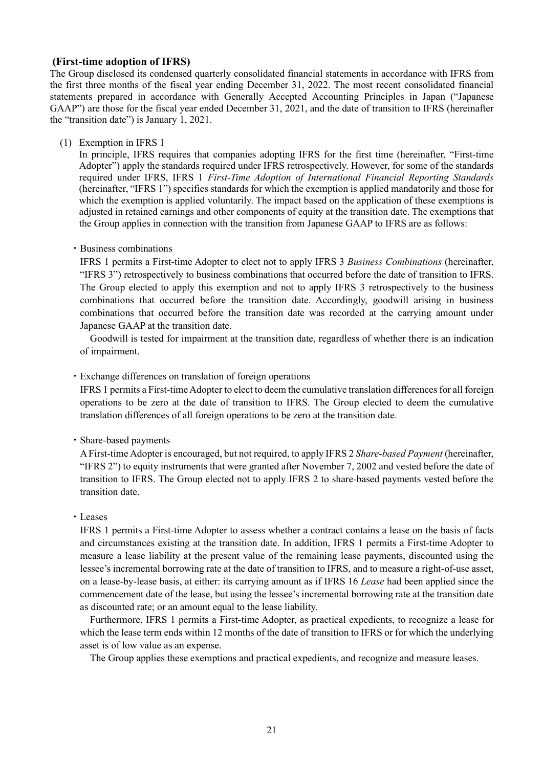### <span id="page-23-0"></span>**(First-time adoption of IFRS)**

The Group disclosed its condensed quarterly consolidated financial statements in accordance with IFRS from the first three months of the fiscal year ending December 31, 2022. The most recent consolidated financial statements prepared in accordance with Generally Accepted Accounting Principles in Japan ("Japanese GAAP") are those for the fiscal year ended December 31, 2021, and the date of transition to IFRS (hereinafter the "transition date") is January 1, 2021.

(1) Exemption in IFRS 1

In principle, IFRS requires that companies adopting IFRS for the first time (hereinafter, "First-time Adopter") apply the standards required under IFRS retrospectively. However, for some of the standards required under IFRS, IFRS 1 *First-Time Adoption of International Financial Reporting Standards* (hereinafter, "IFRS 1") specifies standards for which the exemption is applied mandatorily and those for which the exemption is applied voluntarily. The impact based on the application of these exemptions is adjusted in retained earnings and other components of equity at the transition date. The exemptions that the Group applies in connection with the transition from Japanese GAAP to IFRS are as follows:

#### ・Business combinations

IFRS 1 permits a First-time Adopter to elect not to apply IFRS 3 *Business Combinations* (hereinafter, "IFRS 3") retrospectively to business combinations that occurred before the date of transition to IFRS. The Group elected to apply this exemption and not to apply IFRS 3 retrospectively to the business combinations that occurred before the transition date. Accordingly, goodwill arising in business combinations that occurred before the transition date was recorded at the carrying amount under Japanese GAAP at the transition date.

Goodwill is tested for impairment at the transition date, regardless of whether there is an indication of impairment.

・Exchange differences on translation of foreign operations

IFRS 1 permits a First-time Adopter to elect to deem the cumulative translation differences for all foreign operations to be zero at the date of transition to IFRS. The Group elected to deem the cumulative translation differences of all foreign operations to be zero at the transition date.

・Share-based payments

A First-time Adopter is encouraged, but not required, to apply IFRS 2 *Share-based Payment* (hereinafter, "IFRS 2") to equity instruments that were granted after November 7, 2002 and vested before the date of transition to IFRS. The Group elected not to apply IFRS 2 to share-based payments vested before the transition date.

・Leases

IFRS 1 permits a First-time Adopter to assess whether a contract contains a lease on the basis of facts and circumstances existing at the transition date. In addition, IFRS 1 permits a First-time Adopter to measure a lease liability at the present value of the remaining lease payments, discounted using the lessee's incremental borrowing rate at the date of transition to IFRS, and to measure a right-of-use asset, on a lease-by-lease basis, at either: its carrying amount as if IFRS 16 *Lease* had been applied since the commencement date of the lease, but using the lessee's incremental borrowing rate at the transition date as discounted rate; or an amount equal to the lease liability.

Furthermore, IFRS 1 permits a First-time Adopter, as practical expedients, to recognize a lease for which the lease term ends within 12 months of the date of transition to IFRS or for which the underlying asset is of low value as an expense.

The Group applies these exemptions and practical expedients, and recognize and measure leases.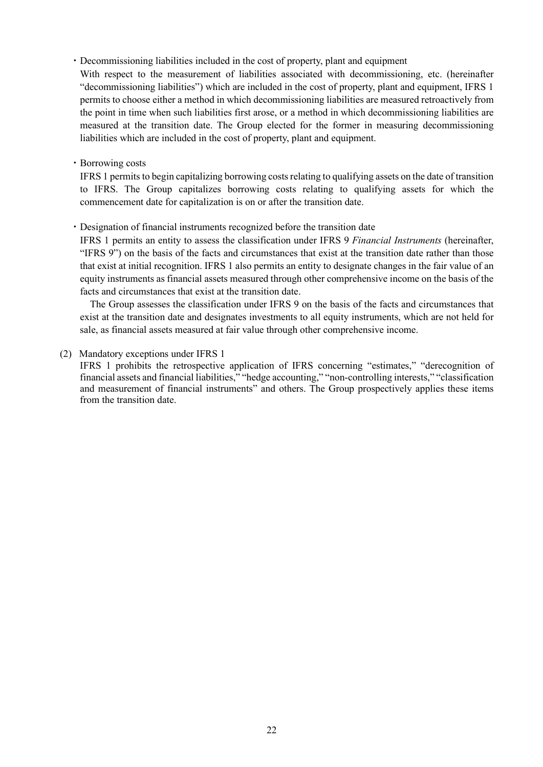・Decommissioning liabilities included in the cost of property, plant and equipment

With respect to the measurement of liabilities associated with decommissioning, etc. (hereinafter "decommissioning liabilities") which are included in the cost of property, plant and equipment, IFRS 1 permits to choose either a method in which decommissioning liabilities are measured retroactively from the point in time when such liabilities first arose, or a method in which decommissioning liabilities are measured at the transition date. The Group elected for the former in measuring decommissioning liabilities which are included in the cost of property, plant and equipment.

・Borrowing costs

IFRS 1 permits to begin capitalizing borrowing costs relating to qualifying assets on the date of transition to IFRS. The Group capitalizes borrowing costs relating to qualifying assets for which the commencement date for capitalization is on or after the transition date.

・Designation of financial instruments recognized before the transition date

IFRS 1 permits an entity to assess the classification under IFRS 9 *Financial Instruments* (hereinafter, "IFRS 9") on the basis of the facts and circumstances that exist at the transition date rather than those that exist at initial recognition. IFRS 1 also permits an entity to designate changes in the fair value of an equity instruments as financial assets measured through other comprehensive income on the basis of the facts and circumstances that exist at the transition date.

The Group assesses the classification under IFRS 9 on the basis of the facts and circumstances that exist at the transition date and designates investments to all equity instruments, which are not held for sale, as financial assets measured at fair value through other comprehensive income.

(2) Mandatory exceptions under IFRS 1

IFRS 1 prohibits the retrospective application of IFRS concerning "estimates," "derecognition of financial assets and financial liabilities," "hedge accounting," "non-controlling interests," "classification and measurement of financial instruments" and others. The Group prospectively applies these items from the transition date.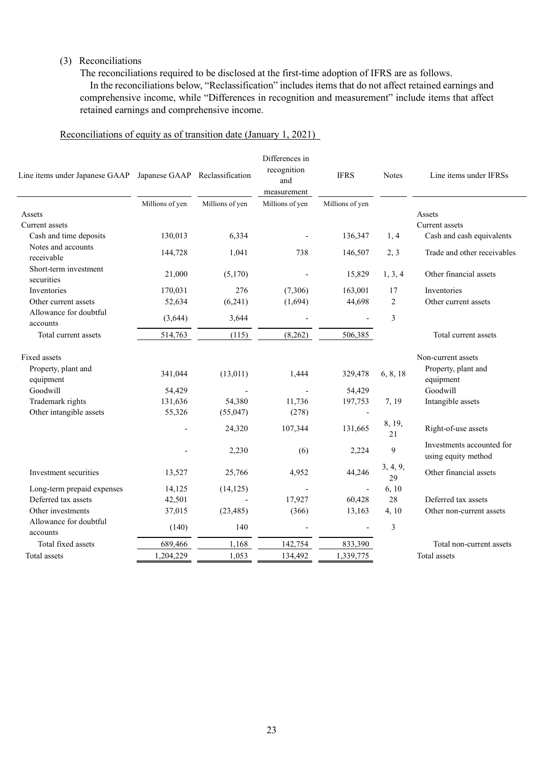### (3) Reconciliations

The reconciliations required to be disclosed at the first-time adoption of IFRS are as follows. In the reconciliations below, "Reclassification" includes items that do not affect retained earnings and comprehensive income, while "Differences in recognition and measurement" include items that affect retained earnings and comprehensive income.

### Reconciliations of equity as of transition date (January 1, 2021)

| Line items under Japanese GAAP Japanese GAAP Reclassification |                 |                 | Differences in<br>recognition<br>and<br>measurement | <b>IFRS</b>     | <b>Notes</b>   | Line items under IFRSs                           |
|---------------------------------------------------------------|-----------------|-----------------|-----------------------------------------------------|-----------------|----------------|--------------------------------------------------|
|                                                               | Millions of yen | Millions of yen | Millions of yen                                     | Millions of yen |                |                                                  |
| Assets                                                        |                 |                 |                                                     |                 |                | Assets                                           |
| Current assets                                                |                 |                 |                                                     |                 |                | Current assets                                   |
| Cash and time deposits                                        | 130,013         | 6,334           |                                                     | 136,347         | 1, 4           | Cash and cash equivalents                        |
| Notes and accounts<br>receivable                              | 144,728         | 1,041           | 738                                                 | 146,507         | 2, 3           | Trade and other receivables                      |
| Short-term investment<br>securities                           | 21,000          | (5,170)         |                                                     | 15,829          | 1, 3, 4        | Other financial assets                           |
| Inventories                                                   | 170.031         | 276             | (7,306)                                             | 163,001         | 17             | Inventories                                      |
| Other current assets                                          | 52,634          | (6,241)         | (1,694)                                             | 44,698          | $\overline{2}$ | Other current assets                             |
| Allowance for doubtful<br>accounts                            | (3,644)         | 3,644           |                                                     |                 | 3              |                                                  |
| Total current assets                                          | 514,763         | (115)           | (8,262)                                             | 506,385         |                | Total current assets                             |
| Fixed assets                                                  |                 |                 |                                                     |                 |                | Non-current assets                               |
| Property, plant and<br>equipment                              | 341,044         | (13,011)        | 1,444                                               | 329,478         | 6, 8, 18       | Property, plant and<br>equipment                 |
| Goodwill                                                      | 54,429          |                 |                                                     | 54,429          |                | Goodwill                                         |
| Trademark rights                                              | 131,636         | 54,380          | 11,736                                              | 197,753         | 7, 19          | Intangible assets                                |
| Other intangible assets                                       | 55,326          | (55,047)        | (278)                                               |                 |                |                                                  |
|                                                               |                 | 24,320          | 107,344                                             | 131,665         | 8, 19,<br>21   | Right-of-use assets                              |
|                                                               |                 | 2,230           | (6)                                                 | 2,224           | 9              | Investments accounted for<br>using equity method |
| Investment securities                                         | 13,527          | 25,766          | 4,952                                               | 44,246          | 3, 4, 9,<br>29 | Other financial assets                           |
| Long-term prepaid expenses                                    | 14,125          | (14, 125)       |                                                     |                 | 6, 10          |                                                  |
| Deferred tax assets                                           | 42,501          |                 | 17,927                                              | 60,428          | 28             | Deferred tax assets                              |
| Other investments                                             | 37,015          | (23, 485)       | (366)                                               | 13,163          | 4, 10          | Other non-current assets                         |
| Allowance for doubtful<br>accounts                            | (140)           | 140             |                                                     | $\overline{a}$  | 3              |                                                  |
| Total fixed assets                                            | 689,466         | 1,168           | 142,754                                             | 833,390         |                | Total non-current assets                         |
| Total assets                                                  | 1,204,229       | 1,053           | 134,492                                             | 1,339,775       |                | Total assets                                     |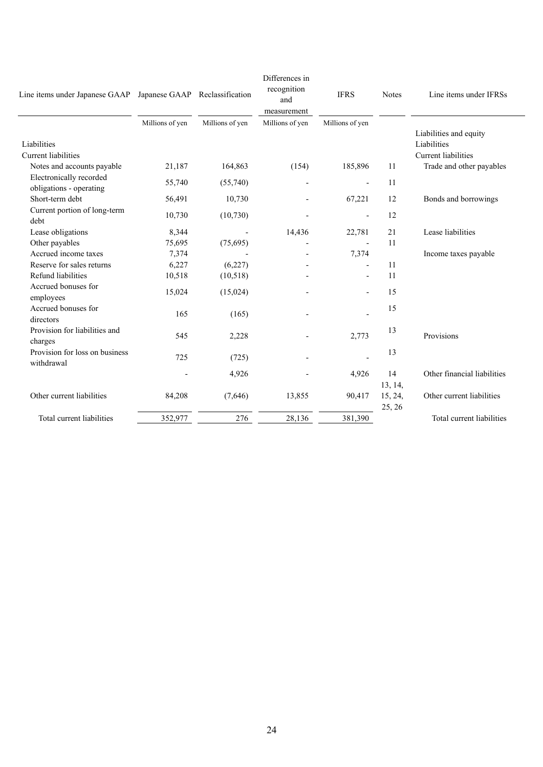| Line items under Japanese GAAP Japanese GAAP Reclassification |                 |                 | Differences in<br>recognition<br>and<br>measurement | <b>IFRS</b>              | <b>Notes</b>      | Line items under IFRSs                                              |
|---------------------------------------------------------------|-----------------|-----------------|-----------------------------------------------------|--------------------------|-------------------|---------------------------------------------------------------------|
|                                                               | Millions of yen | Millions of yen | Millions of yen                                     | Millions of yen          |                   |                                                                     |
| Liabilities<br><b>Current liabilities</b>                     |                 |                 |                                                     |                          |                   | Liabilities and equity<br>Liabilities<br><b>Current</b> liabilities |
| Notes and accounts payable                                    | 21,187          | 164,863         | (154)                                               | 185,896                  | 11                | Trade and other payables                                            |
| Electronically recorded<br>obligations - operating            | 55,740          | (55,740)        |                                                     | $\overline{a}$           | 11                |                                                                     |
| Short-term debt                                               | 56,491          | 10,730          |                                                     | 67,221                   | 12                | Bonds and borrowings                                                |
| Current portion of long-term<br>debt                          | 10,730          | (10, 730)       |                                                     | $\overline{\phantom{m}}$ | 12                |                                                                     |
| Lease obligations                                             | 8,344           |                 | 14,436                                              | 22,781                   | 21                | Lease liabilities                                                   |
| Other payables                                                | 75,695          | (75,695)        |                                                     | $\overline{\phantom{a}}$ | 11                |                                                                     |
| Accrued income taxes                                          | 7,374           |                 |                                                     | 7,374                    |                   | Income taxes payable                                                |
| Reserve for sales returns                                     | 6,227           | (6,227)         |                                                     |                          | 11                |                                                                     |
| Refund liabilities                                            | 10,518          | (10,518)        |                                                     | $\overline{\phantom{m}}$ | 11                |                                                                     |
| Accrued bonuses for<br>employees                              | 15,024          | (15,024)        |                                                     |                          | 15                |                                                                     |
| Accrued bonuses for<br>directors                              | 165             | (165)           |                                                     |                          | 15                |                                                                     |
| Provision for liabilities and<br>charges                      | 545             | 2,228           |                                                     | 2,773                    | 13                | Provisions                                                          |
| Provision for loss on business<br>withdrawal                  | 725             | (725)           |                                                     |                          | 13                |                                                                     |
|                                                               |                 | 4,926           |                                                     | 4,926                    | 14                | Other financial liabilities                                         |
|                                                               |                 |                 |                                                     |                          | 13, 14,           |                                                                     |
| Other current liabilities                                     | 84,208          | (7,646)         | 13,855                                              | 90,417                   | 15, 24,<br>25, 26 | Other current liabilities                                           |
| Total current liabilities                                     | 352,977         | 276             | 28,136                                              | 381,390                  |                   | Total current liabilities                                           |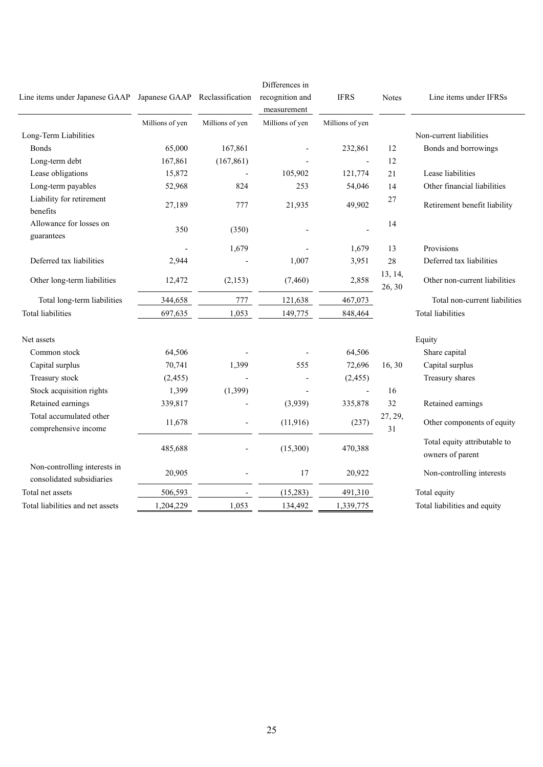| Line items under Japanese GAAP                            | Japanese GAAP Reclassification |                 | Differences in<br>recognition and<br>measurement | <b>IFRS</b>     | <b>Notes</b>      | Line items under IFRSs                           |
|-----------------------------------------------------------|--------------------------------|-----------------|--------------------------------------------------|-----------------|-------------------|--------------------------------------------------|
|                                                           | Millions of yen                | Millions of yen | Millions of yen                                  | Millions of yen |                   |                                                  |
| Long-Term Liabilities                                     |                                |                 |                                                  |                 |                   | Non-current liabilities                          |
| Bonds                                                     | 65,000                         | 167,861         |                                                  | 232,861         | 12                | Bonds and borrowings                             |
| Long-term debt                                            | 167,861                        | (167, 861)      |                                                  |                 | 12                |                                                  |
| Lease obligations                                         | 15,872                         |                 | 105,902                                          | 121,774         | 21                | Lease liabilities                                |
| Long-term payables                                        | 52,968                         | 824             | 253                                              | 54,046          | 14                | Other financial liabilities                      |
| Liability for retirement<br>benefits                      | 27,189                         | 777             | 21,935                                           | 49,902          | $27\,$            | Retirement benefit liability                     |
| Allowance for losses on<br>guarantees                     | 350                            | (350)           |                                                  |                 | 14                |                                                  |
|                                                           |                                | 1,679           |                                                  | 1,679           | 13                | Provisions                                       |
| Deferred tax liabilities                                  | 2,944                          |                 | 1,007                                            | 3,951           | 28                | Deferred tax liabilities                         |
| Other long-term liabilities                               | 12,472                         | (2,153)         | (7, 460)                                         | 2,858           | 13, 14,<br>26, 30 | Other non-current liabilities                    |
| Total long-term liabilities                               | 344,658                        | 777             | 121,638                                          | 467,073         |                   | Total non-current liabilities                    |
| <b>Total liabilities</b>                                  | 697,635                        | 1,053           | 149,775                                          | 848,464         |                   | <b>Total liabilities</b>                         |
| Net assets                                                |                                |                 |                                                  |                 |                   | Equity                                           |
| Common stock                                              | 64,506                         |                 |                                                  | 64,506          |                   | Share capital                                    |
| Capital surplus                                           | 70,741                         | 1,399           | 555                                              | 72,696          | 16,30             | Capital surplus                                  |
| Treasury stock                                            | (2, 455)                       |                 |                                                  | (2, 455)        |                   | Treasury shares                                  |
| Stock acquisition rights                                  | 1,399                          | (1, 399)        |                                                  | $\overline{a}$  | 16                |                                                  |
| Retained earnings                                         | 339,817                        |                 | (3,939)                                          | 335,878         | 32                | Retained earnings                                |
| Total accumulated other<br>comprehensive income           | 11,678                         |                 | (11, 916)                                        | (237)           | 27, 29,<br>31     | Other components of equity                       |
|                                                           | 485,688                        |                 | (15,300)                                         | 470,388         |                   | Total equity attributable to<br>owners of parent |
| Non-controlling interests in<br>consolidated subsidiaries | 20,905                         |                 | 17                                               | 20,922          |                   | Non-controlling interests                        |
| Total net assets                                          | 506,593                        |                 | (15,283)                                         | 491,310         |                   | Total equity                                     |
| Total liabilities and net assets                          | 1,204,229                      | 1,053           | 134,492                                          | 1,339,775       |                   | Total liabilities and equity                     |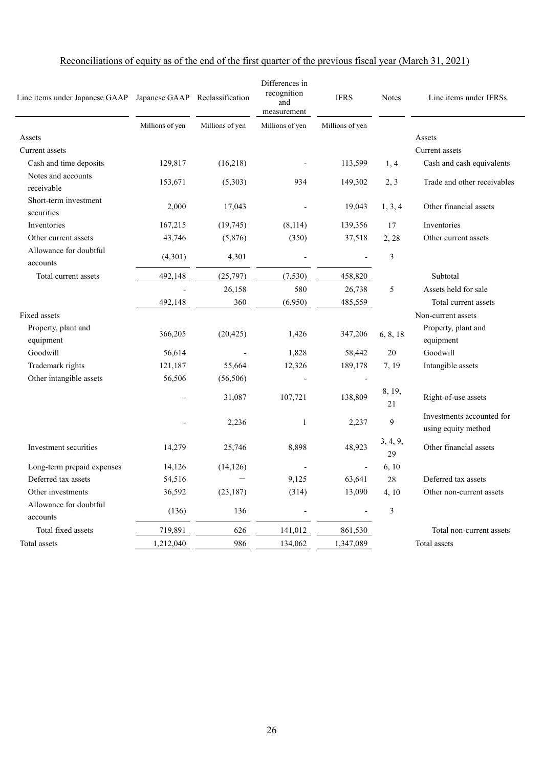| Line items under Japanese GAAP      | Japanese GAAP Reclassification |                 | Differences in<br>recognition<br>and<br>measurement | <b>IFRS</b>     | <b>Notes</b>   | Line items under IFRSs                           |
|-------------------------------------|--------------------------------|-----------------|-----------------------------------------------------|-----------------|----------------|--------------------------------------------------|
|                                     | Millions of yen                | Millions of yen | Millions of yen                                     | Millions of yen |                |                                                  |
| Assets                              |                                |                 |                                                     |                 |                | Assets                                           |
| Current assets                      |                                |                 |                                                     |                 |                | Current assets                                   |
| Cash and time deposits              | 129,817                        | (16,218)        |                                                     | 113,599         | 1, 4           | Cash and cash equivalents                        |
| Notes and accounts<br>receivable    | 153,671                        | (5,303)         | 934                                                 | 149,302         | 2, 3           | Trade and other receivables                      |
| Short-term investment<br>securities | 2,000                          | 17,043          |                                                     | 19,043          | 1, 3, 4        | Other financial assets                           |
| Inventories                         | 167,215                        | (19, 745)       | (8,114)                                             | 139,356         | 17             | Inventories                                      |
| Other current assets                | 43,746                         | (5,876)         | (350)                                               | 37,518          | 2, 28          | Other current assets                             |
| Allowance for doubtful<br>accounts  | (4,301)                        | 4,301           |                                                     |                 | 3              |                                                  |
| Total current assets                | 492,148                        | (25,797)        | (7, 530)                                            | 458,820         |                | Subtotal                                         |
|                                     |                                | 26,158          | 580                                                 | 26,738          | 5              | Assets held for sale                             |
|                                     | 492,148                        | 360             | (6,950)                                             | 485,559         |                | Total current assets                             |
| Fixed assets                        |                                |                 |                                                     |                 |                | Non-current assets                               |
| Property, plant and<br>equipment    | 366,205                        | (20, 425)       | 1,426                                               | 347,206         | 6, 8, 18       | Property, plant and<br>equipment                 |
| Goodwill                            | 56,614                         |                 | 1,828                                               | 58,442          | 20             | Goodwill                                         |
| Trademark rights                    | 121,187                        | 55,664          | 12,326                                              | 189,178         | 7, 19          | Intangible assets                                |
| Other intangible assets             | 56,506                         | (56, 506)       |                                                     |                 |                |                                                  |
|                                     |                                | 31,087          | 107,721                                             | 138,809         | 8, 19,<br>21   | Right-of-use assets                              |
|                                     |                                | 2,236           | 1                                                   | 2,237           | 9              | Investments accounted for<br>using equity method |
| Investment securities               | 14,279                         | 25,746          | 8,898                                               | 48,923          | 3, 4, 9,<br>29 | Other financial assets                           |
| Long-term prepaid expenses          | 14,126                         | (14, 126)       |                                                     |                 | 6, 10          |                                                  |
| Deferred tax assets                 | 54,516                         |                 | 9,125                                               | 63,641          | 28             | Deferred tax assets                              |
| Other investments                   | 36,592                         | (23, 187)       | (314)                                               | 13,090          | 4, 10          | Other non-current assets                         |
| Allowance for doubtful<br>accounts  | (136)                          | 136             |                                                     |                 | 3              |                                                  |
| Total fixed assets                  | 719,891                        | 626             | 141,012                                             | 861,530         |                | Total non-current assets                         |
| Total assets                        | 1,212,040                      | 986             | 134,062                                             | 1,347,089       |                | Total assets                                     |

# Reconciliations of equity as of the end of the first quarter of the previous fiscal year (March 31, 2021)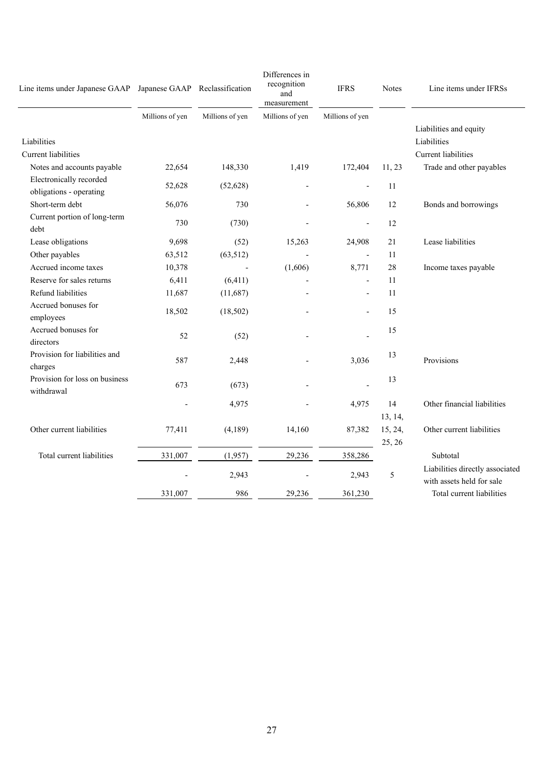| Line items under Japanese GAAP Japanese GAAP Reclassification |                 |                          | Differences in<br>recognition<br>and<br>measurement | <b>IFRS</b>              | <b>Notes</b> | Line items under IFRSs                                       |
|---------------------------------------------------------------|-----------------|--------------------------|-----------------------------------------------------|--------------------------|--------------|--------------------------------------------------------------|
|                                                               | Millions of yen | Millions of yen          | Millions of yen                                     | Millions of yen          |              |                                                              |
| Liabilities<br>Current liabilities                            |                 |                          |                                                     |                          |              | Liabilities and equity<br>Liabilities<br>Current liabilities |
| Notes and accounts payable                                    | 22,654          | 148,330                  | 1,419                                               | 172,404                  | 11, 23       | Trade and other payables                                     |
| Electronically recorded<br>obligations - operating            | 52,628          | (52, 628)                |                                                     | $\overline{\phantom{a}}$ | 11           |                                                              |
| Short-term debt                                               | 56,076          | 730                      |                                                     | 56,806                   | 12           | Bonds and borrowings                                         |
| Current portion of long-term<br>debt                          | 730             | (730)                    |                                                     | $\overline{a}$           | 12           |                                                              |
| Lease obligations                                             | 9,698           | (52)                     | 15,263                                              | 24,908                   | 21           | Lease liabilities                                            |
| Other payables                                                | 63,512          | (63, 512)                |                                                     | $\overline{\phantom{a}}$ | 11           |                                                              |
| Accrued income taxes                                          | 10,378          | $\overline{\phantom{a}}$ | (1,606)                                             | 8,771                    | 28           | Income taxes payable                                         |
| Reserve for sales returns                                     | 6,411           | (6, 411)                 |                                                     |                          | 11           |                                                              |
| Refund liabilities                                            | 11,687          | (11,687)                 |                                                     |                          | 11           |                                                              |
| Accrued bonuses for<br>employees                              | 18,502          | (18,502)                 |                                                     |                          | 15           |                                                              |
| Accrued bonuses for<br>directors                              | 52              | (52)                     |                                                     |                          | 15           |                                                              |
| Provision for liabilities and<br>charges                      | 587             | 2,448                    |                                                     | 3,036                    | 13           | Provisions                                                   |
| Provision for loss on business<br>withdrawal                  | 673             | (673)                    |                                                     |                          | 13           |                                                              |
|                                                               |                 | 4,975                    |                                                     | 4,975                    | 14           | Other financial liabilities                                  |
|                                                               |                 |                          |                                                     |                          | 13, 14,      |                                                              |
| Other current liabilities                                     | 77,411          | (4,189)                  | 14,160                                              | 87,382                   | 15, 24,      | Other current liabilities                                    |
|                                                               |                 |                          |                                                     |                          | 25, 26       |                                                              |
| Total current liabilities                                     | 331,007         | (1,957)                  | 29,236                                              | 358,286                  |              | Subtotal                                                     |
|                                                               |                 | 2,943                    |                                                     | 2,943                    | 5            | Liabilities directly associated<br>with assets held for sale |
|                                                               | 331,007         | 986                      | 29,236                                              | 361,230                  |              | Total current liabilities                                    |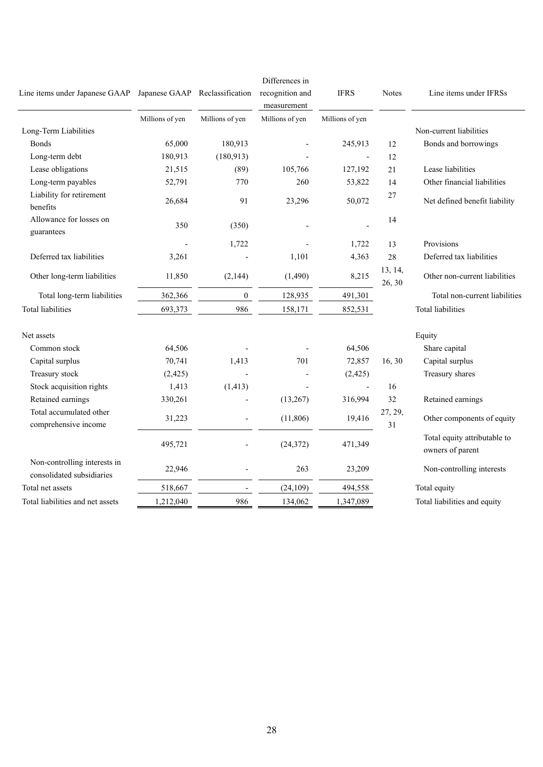| Line items under Japanese GAAP Japanese GAAP Reclassification |                 |                  | Differences in<br>recognition and<br>measurement | <b>IFRS</b>              | <b>Notes</b>      | Line items under IFRSs                           |
|---------------------------------------------------------------|-----------------|------------------|--------------------------------------------------|--------------------------|-------------------|--------------------------------------------------|
|                                                               | Millions of yen | Millions of yen  | Millions of yen                                  | Millions of yen          |                   |                                                  |
| Long-Term Liabilities                                         |                 |                  |                                                  |                          |                   | Non-current liabilities                          |
| <b>Bonds</b>                                                  | 65,000          | 180,913          |                                                  | 245,913                  | 12                | Bonds and borrowings                             |
| Long-term debt                                                | 180,913         | (180, 913)       |                                                  | $\overline{\phantom{a}}$ | 12                |                                                  |
| Lease obligations                                             | 21,515          | (89)             | 105,766                                          | 127,192                  | 21                | Lease liabilities                                |
| Long-term payables                                            | 52,791          | 770              | 260                                              | 53,822                   | 14                | Other financial liabilities                      |
| Liability for retirement<br>benefits                          | 26,684          | 91               | 23,296                                           | 50,072                   | 27                | Net defined benefit liability                    |
| Allowance for losses on<br>guarantees                         | 350             | (350)            |                                                  |                          | 14                |                                                  |
|                                                               |                 | 1,722            |                                                  | 1,722                    | 13                | Provisions                                       |
| Deferred tax liabilities                                      | 3,261           |                  | 1,101                                            | 4,363                    | 28                | Deferred tax liabilities                         |
| Other long-term liabilities                                   | 11,850          | (2,144)          | (1,490)                                          | 8,215                    | 13, 14,<br>26, 30 | Other non-current liabilities                    |
| Total long-term liabilities                                   | 362,366         | $\boldsymbol{0}$ | 128,935                                          | 491,301                  |                   | Total non-current liabilities                    |
| <b>Total liabilities</b>                                      | 693,373         | 986              | 158,171                                          | 852,531                  |                   | <b>Total liabilities</b>                         |
| Net assets                                                    |                 |                  |                                                  |                          |                   | Equity                                           |
| Common stock                                                  | 64,506          |                  |                                                  | 64,506                   |                   | Share capital                                    |
| Capital surplus                                               | 70,741          | 1,413            | 701                                              | 72,857                   | 16,30             | Capital surplus                                  |
| Treasury stock                                                | (2, 425)        |                  |                                                  | (2, 425)                 |                   | Treasury shares                                  |
| Stock acquisition rights                                      | 1,413           | (1, 413)         |                                                  | $\overline{\phantom{a}}$ | 16                |                                                  |
| Retained earnings                                             | 330,261         |                  | (13,267)                                         | 316,994                  | 32                | Retained earnings                                |
| Total accumulated other<br>comprehensive income               | 31,223          |                  | (11, 806)                                        | 19,416                   | 27, 29,<br>31     | Other components of equity                       |
|                                                               | 495,721         |                  | (24, 372)                                        | 471,349                  |                   | Total equity attributable to<br>owners of parent |
| Non-controlling interests in<br>consolidated subsidiaries     | 22,946          |                  | 263                                              | 23,209                   |                   | Non-controlling interests                        |
| Total net assets                                              | 518,667         |                  | (24, 109)                                        | 494,558                  |                   | Total equity                                     |
| Total liabilities and net assets                              | 1,212,040       | 986              | 134,062                                          | 1,347,089                |                   | Total liabilities and equity                     |
|                                                               |                 |                  |                                                  |                          |                   |                                                  |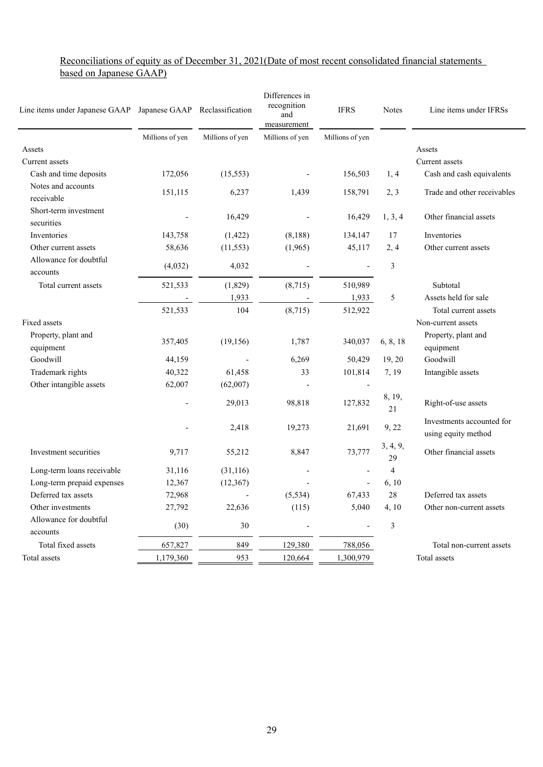### Reconciliations of equity as of December 31, 2021(Date of most recent consolidated financial statements based on Japanese GAAP)

| Line items under Japanese GAAP Japanese GAAP Reclassification |                 |                 | Differences in<br>recognition<br>and<br>measurement | <b>IFRS</b>     | <b>Notes</b>   | Line items under IFRSs                           |
|---------------------------------------------------------------|-----------------|-----------------|-----------------------------------------------------|-----------------|----------------|--------------------------------------------------|
|                                                               | Millions of yen | Millions of yen | Millions of yen                                     | Millions of yen |                |                                                  |
| Assets                                                        |                 |                 |                                                     |                 |                | Assets                                           |
| Current assets                                                |                 |                 |                                                     |                 |                | Current assets                                   |
| Cash and time deposits                                        | 172,056         | (15, 553)       |                                                     | 156,503         | 1, 4           | Cash and cash equivalents                        |
| Notes and accounts<br>receivable                              | 151,115         | 6,237           | 1,439                                               | 158,791         | 2, 3           | Trade and other receivables                      |
| Short-term investment<br>securities                           |                 | 16,429          |                                                     | 16,429          | 1, 3, 4        | Other financial assets                           |
| Inventories                                                   | 143,758         | (1, 422)        | (8,188)                                             | 134,147         | 17             | <b>Inventories</b>                               |
| Other current assets                                          | 58,636          | (11, 553)       | (1,965)                                             | 45,117          | 2, 4           | Other current assets                             |
| Allowance for doubtful<br>accounts                            | (4,032)         | 4,032           |                                                     |                 | 3              |                                                  |
| Total current assets                                          | 521,533         | (1,829)         | (8,715)                                             | 510,989         |                | Subtotal                                         |
|                                                               |                 | 1,933           |                                                     | 1,933           | 5              | Assets held for sale                             |
|                                                               | 521,533         | 104             | (8,715)                                             | 512,922         |                | Total current assets                             |
| Fixed assets                                                  |                 |                 |                                                     |                 |                | Non-current assets                               |
| Property, plant and<br>equipment                              | 357,405         | (19, 156)       | 1,787                                               | 340,037         | 6, 8, 18       | Property, plant and<br>equipment                 |
| Goodwill                                                      | 44,159          |                 | 6,269                                               | 50,429          | 19, 20         | Goodwill                                         |
| Trademark rights                                              | 40,322          | 61,458          | 33                                                  | 101,814         | 7, 19          | Intangible assets                                |
| Other intangible assets                                       | 62,007          | (62,007)        |                                                     |                 |                |                                                  |
|                                                               |                 | 29,013          | 98,818                                              | 127,832         | 8, 19,<br>21   | Right-of-use assets                              |
|                                                               |                 | 2,418           | 19,273                                              | 21,691          | 9, 22          | Investments accounted for<br>using equity method |
| Investment securities                                         | 9,717           | 55,212          | 8,847                                               | 73,777          | 3, 4, 9,<br>29 | Other financial assets                           |
| Long-term loans receivable                                    | 31,116          | (31,116)        |                                                     |                 | $\overline{4}$ |                                                  |
| Long-term prepaid expenses                                    | 12,367          | (12,367)        |                                                     | $\overline{a}$  | 6, 10          |                                                  |
| Deferred tax assets                                           | 72,968          |                 | (5, 534)                                            | 67,433          | 28             | Deferred tax assets                              |
| Other investments                                             | 27,792          | 22,636          | (115)                                               | 5,040           | 4, 10          | Other non-current assets                         |
| Allowance for doubtful<br>accounts                            | (30)            | 30              |                                                     |                 | 3              |                                                  |
| Total fixed assets                                            | 657,827         | 849             | 129,380                                             | 788,056         |                | Total non-current assets                         |
| Total assets                                                  | 1,179,360       | 953             | 120,664                                             | 1,300,979       |                | Total assets                                     |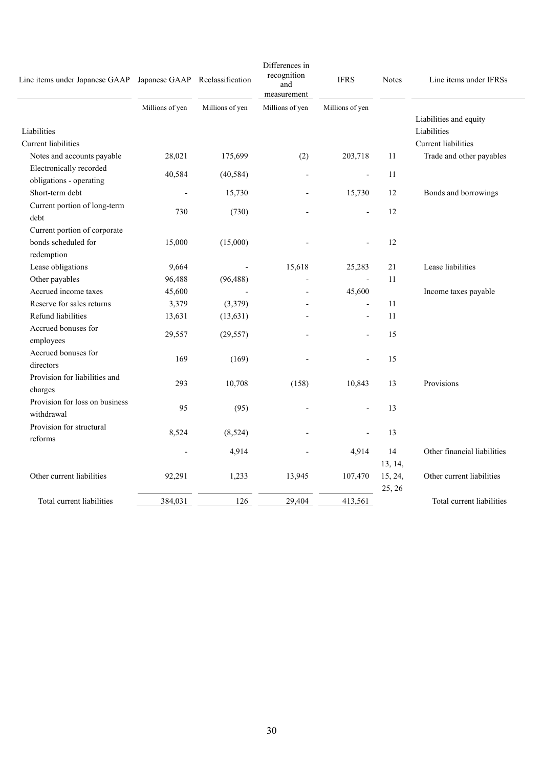| Line items under Japanese GAAP Japanese GAAP Reclassification |                 |                          | Differences in<br>recognition<br>and<br>measurement | <b>IFRS</b>              | <b>Notes</b> | Line items under IFRSs      |
|---------------------------------------------------------------|-----------------|--------------------------|-----------------------------------------------------|--------------------------|--------------|-----------------------------|
|                                                               | Millions of yen | Millions of yen          | Millions of yen                                     | Millions of yen          |              |                             |
|                                                               |                 |                          |                                                     |                          |              | Liabilities and equity      |
| Liabilities                                                   |                 |                          |                                                     |                          |              | Liabilities                 |
| Current liabilities                                           |                 |                          |                                                     |                          |              | Current liabilities         |
| Notes and accounts payable                                    | 28,021          | 175,699                  | (2)                                                 | 203,718                  | 11           | Trade and other payables    |
| Electronically recorded                                       | 40,584          | (40, 584)                | ÷,                                                  | $\overline{\phantom{a}}$ | 11           |                             |
| obligations - operating                                       |                 |                          |                                                     |                          |              |                             |
| Short-term debt                                               |                 | 15,730                   |                                                     | 15,730                   | 12           | Bonds and borrowings        |
| Current portion of long-term                                  | 730             | (730)                    |                                                     | $\overline{\phantom{a}}$ | 12           |                             |
| debt                                                          |                 |                          |                                                     |                          |              |                             |
| Current portion of corporate                                  |                 |                          |                                                     |                          |              |                             |
| bonds scheduled for                                           | 15,000          | (15,000)                 |                                                     |                          | 12           |                             |
| redemption                                                    |                 |                          |                                                     |                          |              |                             |
| Lease obligations                                             | 9,664           | $\overline{\phantom{a}}$ | 15,618                                              | 25,283                   | 21           | Lease liabilities           |
| Other payables                                                | 96,488          | (96, 488)                |                                                     | $\overline{a}$           | 11           |                             |
| Accrued income taxes                                          | 45,600          |                          | $\overline{a}$                                      | 45,600                   |              | Income taxes payable        |
| Reserve for sales returns                                     | 3,379           | (3,379)                  |                                                     | $\overline{\phantom{a}}$ | 11           |                             |
| Refund liabilities                                            | 13,631          | (13, 631)                |                                                     | $\overline{\phantom{a}}$ | 11           |                             |
| Accrued bonuses for                                           |                 |                          |                                                     |                          |              |                             |
| employees                                                     | 29,557          | (29, 557)                |                                                     |                          | 15           |                             |
| Accrued bonuses for                                           |                 |                          |                                                     |                          |              |                             |
| directors                                                     | 169             | (169)                    |                                                     |                          | 15           |                             |
| Provision for liabilities and                                 |                 |                          |                                                     |                          |              |                             |
| charges                                                       | 293             | 10,708                   | (158)                                               | 10,843                   | 13           | Provisions                  |
| Provision for loss on business                                |                 |                          |                                                     |                          |              |                             |
| withdrawal                                                    | 95              | (95)                     |                                                     |                          | 13           |                             |
| Provision for structural                                      |                 |                          |                                                     |                          |              |                             |
| reforms                                                       | 8,524           | (8,524)                  |                                                     |                          | 13           |                             |
|                                                               |                 | 4,914                    |                                                     | 4,914                    | 14           | Other financial liabilities |
|                                                               |                 |                          |                                                     |                          | 13, 14,      |                             |
| Other current liabilities                                     | 92,291          | 1,233                    | 13,945                                              | 107,470                  | 15, 24,      | Other current liabilities   |
|                                                               |                 |                          |                                                     |                          | 25, 26       |                             |
| Total current liabilities                                     | 384,031         | 126                      | 29,404                                              | 413,561                  |              | Total current liabilities   |
|                                                               |                 |                          |                                                     |                          |              |                             |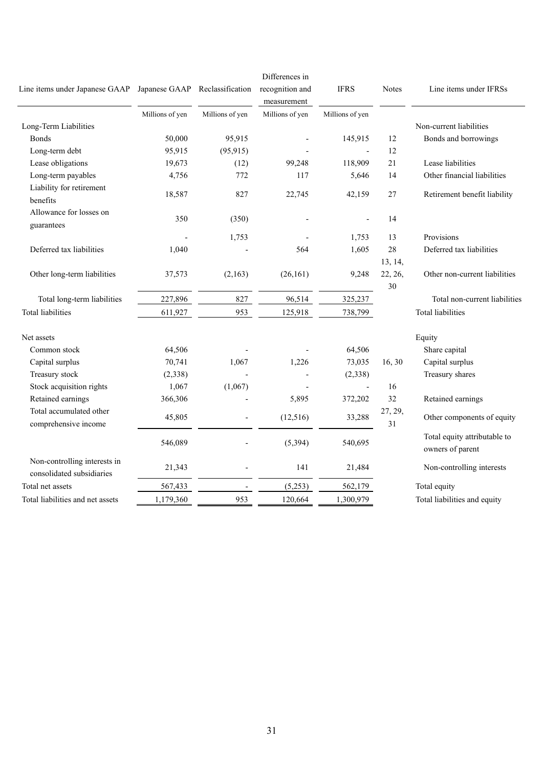| Line items under Japanese GAAP                            |                 | Japanese GAAP Reclassification | Differences in<br>recognition and<br>measurement | <b>IFRS</b>              | <b>Notes</b>  | Line items under IFRSs                           |
|-----------------------------------------------------------|-----------------|--------------------------------|--------------------------------------------------|--------------------------|---------------|--------------------------------------------------|
|                                                           | Millions of yen | Millions of yen                | Millions of yen                                  | Millions of yen          |               |                                                  |
| Long-Term Liabilities                                     |                 |                                |                                                  |                          |               | Non-current liabilities                          |
| <b>Bonds</b>                                              | 50,000          | 95,915                         |                                                  | 145,915                  | 12            | Bonds and borrowings                             |
| Long-term debt                                            | 95,915          | (95, 915)                      |                                                  |                          | 12            |                                                  |
| Lease obligations                                         | 19,673          | (12)                           | 99,248                                           | 118,909                  | 21            | Lease liabilities                                |
| Long-term payables                                        | 4,756           | 772                            | 117                                              | 5,646                    | 14            | Other financial liabilities                      |
| Liability for retirement<br>benefits                      | 18,587          | 827                            | 22,745                                           | 42,159                   | 27            | Retirement benefit liability                     |
| Allowance for losses on<br>guarantees                     | 350             | (350)                          |                                                  |                          | 14            |                                                  |
|                                                           |                 | 1,753                          |                                                  | 1,753                    | 13            | Provisions                                       |
| Deferred tax liabilities                                  | 1,040           |                                | 564                                              | 1,605                    | 28<br>13, 14, | Deferred tax liabilities                         |
| Other long-term liabilities                               | 37,573          | (2,163)                        | (26,161)                                         | 9,248                    | 22, 26,<br>30 | Other non-current liabilities                    |
| Total long-term liabilities                               | 227,896         | 827                            | 96,514                                           | 325,237                  |               | Total non-current liabilities                    |
| <b>Total liabilities</b>                                  | 611,927         | 953                            | 125,918                                          | 738,799                  |               | <b>Total liabilities</b>                         |
| Net assets                                                |                 |                                |                                                  |                          |               | Equity                                           |
| Common stock                                              | 64,506          |                                |                                                  | 64,506                   |               | Share capital                                    |
| Capital surplus                                           | 70,741          | 1,067                          | 1,226                                            | 73,035                   | 16,30         | Capital surplus                                  |
| Treasury stock                                            | (2,338)         |                                |                                                  | (2,338)                  |               | Treasury shares                                  |
| Stock acquisition rights                                  | 1,067           | (1,067)                        |                                                  | $\overline{\phantom{a}}$ | 16            |                                                  |
| Retained earnings                                         | 366,306         |                                | 5,895                                            | 372,202                  | 32            | Retained earnings                                |
| Total accumulated other<br>comprehensive income           | 45,805          |                                | (12,516)                                         | 33,288                   | 27, 29,<br>31 | Other components of equity                       |
|                                                           | 546,089         |                                | (5, 394)                                         | 540,695                  |               | Total equity attributable to<br>owners of parent |
| Non-controlling interests in<br>consolidated subsidiaries | 21,343          |                                | 141                                              | 21,484                   |               | Non-controlling interests                        |
| Total net assets                                          | 567,433         |                                | (5,253)                                          | 562,179                  |               | Total equity                                     |
| Total liabilities and net assets                          | 1,179,360       | 953                            | 120,664                                          | 1,300,979                |               | Total liabilities and equity                     |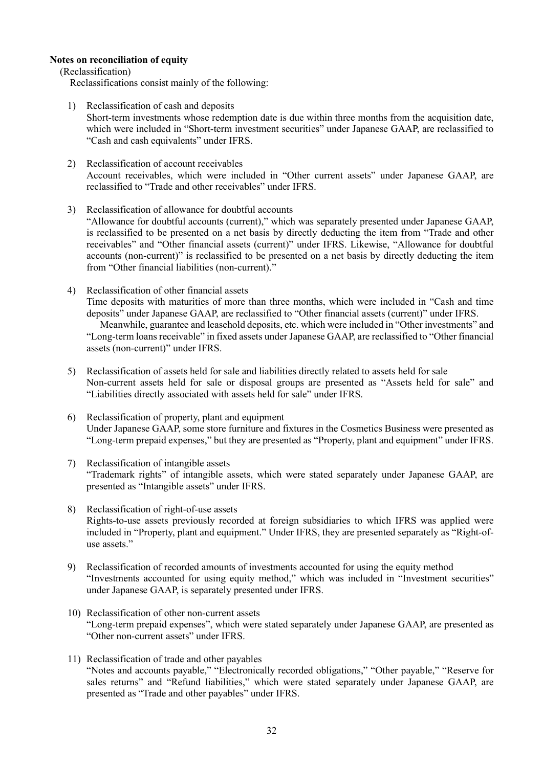### **Notes on reconciliation of equity**

(Reclassification)

Reclassifications consist mainly of the following:

- 1) Reclassification of cash and deposits Short-term investments whose redemption date is due within three months from the acquisition date, which were included in "Short-term investment securities" under Japanese GAAP, are reclassified to "Cash and cash equivalents" under IFRS.
- 2) Reclassification of account receivables Account receivables, which were included in "Other current assets" under Japanese GAAP, are reclassified to "Trade and other receivables" under IFRS.
- 3) Reclassification of allowance for doubtful accounts "Allowance for doubtful accounts (current)," which was separately presented under Japanese GAAP, is reclassified to be presented on a net basis by directly deducting the item from "Trade and other receivables" and "Other financial assets (current)" under IFRS. Likewise, "Allowance for doubtful accounts (non-current)" is reclassified to be presented on a net basis by directly deducting the item from "Other financial liabilities (non-current)."
- 4) Reclassification of other financial assets Time deposits with maturities of more than three months, which were included in "Cash and time deposits" under Japanese GAAP, are reclassified to "Other financial assets (current)" under IFRS. Meanwhile, guarantee and leasehold deposits, etc. which were included in "Other investments" and "Long-term loans receivable" in fixed assets under Japanese GAAP, are reclassified to "Other financial assets (non-current)" under IFRS.
- 5) Reclassification of assets held for sale and liabilities directly related to assets held for sale Non-current assets held for sale or disposal groups are presented as "Assets held for sale" and "Liabilities directly associated with assets held for sale" under IFRS.
- 6) Reclassification of property, plant and equipment Under Japanese GAAP, some store furniture and fixtures in the Cosmetics Business were presented as "Long-term prepaid expenses," but they are presented as "Property, plant and equipment" under IFRS.
- 7) Reclassification of intangible assets "Trademark rights" of intangible assets, which were stated separately under Japanese GAAP, are presented as "Intangible assets" under IFRS.
- 8) Reclassification of right-of-use assets Rights-to-use assets previously recorded at foreign subsidiaries to which IFRS was applied were included in "Property, plant and equipment." Under IFRS, they are presented separately as "Right-ofuse assets."
- 9) Reclassification of recorded amounts of investments accounted for using the equity method "Investments accounted for using equity method," which was included in "Investment securities" under Japanese GAAP, is separately presented under IFRS.
- 10) Reclassification of other non-current assets "Long-term prepaid expenses", which were stated separately under Japanese GAAP, are presented as "Other non-current assets" under IFRS.
- 11) Reclassification of trade and other payables "Notes and accounts payable," "Electronically recorded obligations," "Other payable," "Reserve for sales returns" and "Refund liabilities," which were stated separately under Japanese GAAP, are presented as "Trade and other payables" under IFRS.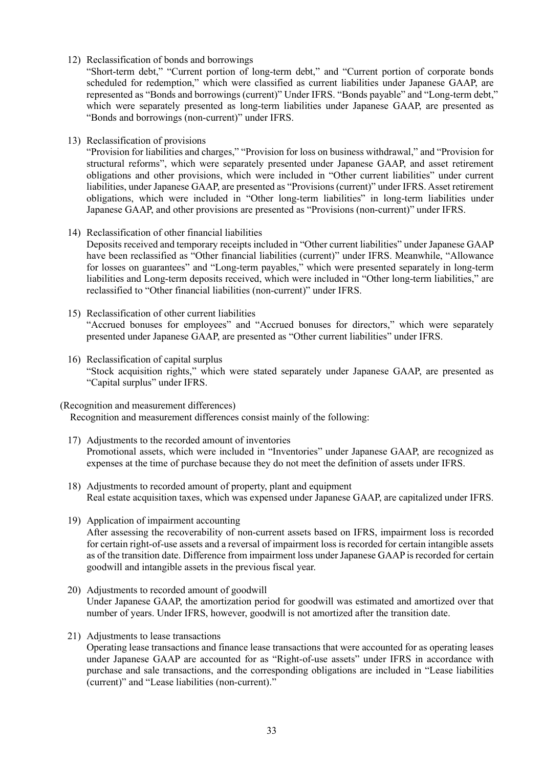12) Reclassification of bonds and borrowings

"Short-term debt," "Current portion of long-term debt," and "Current portion of corporate bonds scheduled for redemption," which were classified as current liabilities under Japanese GAAP, are represented as "Bonds and borrowings (current)" Under IFRS. "Bonds payable" and "Long-term debt," which were separately presented as long-term liabilities under Japanese GAAP, are presented as "Bonds and borrowings (non-current)" under IFRS.

13) Reclassification of provisions

"Provision for liabilities and charges," "Provision for loss on business withdrawal," and "Provision for structural reforms", which were separately presented under Japanese GAAP, and asset retirement obligations and other provisions, which were included in "Other current liabilities" under current liabilities, under Japanese GAAP, are presented as "Provisions (current)" under IFRS. Asset retirement obligations, which were included in "Other long-term liabilities" in long-term liabilities under Japanese GAAP, and other provisions are presented as "Provisions (non-current)" under IFRS.

- 14) Reclassification of other financial liabilities Deposits received and temporary receipts included in "Other current liabilities" under Japanese GAAP have been reclassified as "Other financial liabilities (current)" under IFRS. Meanwhile, "Allowance for losses on guarantees" and "Long-term payables," which were presented separately in long-term liabilities and Long-term deposits received, which were included in "Other long-term liabilities," are reclassified to "Other financial liabilities (non-current)" under IFRS.
- 15) Reclassification of other current liabilities "Accrued bonuses for employees" and "Accrued bonuses for directors," which were separately presented under Japanese GAAP, are presented as "Other current liabilities" under IFRS.
- 16) Reclassification of capital surplus "Stock acquisition rights," which were stated separately under Japanese GAAP, are presented as "Capital surplus" under IFRS.

(Recognition and measurement differences)

Recognition and measurement differences consist mainly of the following:

- 17) Adjustments to the recorded amount of inventories Promotional assets, which were included in "Inventories" under Japanese GAAP, are recognized as expenses at the time of purchase because they do not meet the definition of assets under IFRS.
- 18) Adjustments to recorded amount of property, plant and equipment Real estate acquisition taxes, which was expensed under Japanese GAAP, are capitalized under IFRS.
- 19) Application of impairment accounting After assessing the recoverability of non-current assets based on IFRS, impairment loss is recorded for certain right-of-use assets and a reversal of impairment loss is recorded for certain intangible assets as of the transition date. Difference from impairment loss under Japanese GAAP is recorded for certain goodwill and intangible assets in the previous fiscal year.
- 20) Adjustments to recorded amount of goodwill Under Japanese GAAP, the amortization period for goodwill was estimated and amortized over that number of years. Under IFRS, however, goodwill is not amortized after the transition date.
- 21) Adjustments to lease transactions

Operating lease transactions and finance lease transactions that were accounted for as operating leases under Japanese GAAP are accounted for as "Right-of-use assets" under IFRS in accordance with purchase and sale transactions, and the corresponding obligations are included in "Lease liabilities (current)" and "Lease liabilities (non-current)."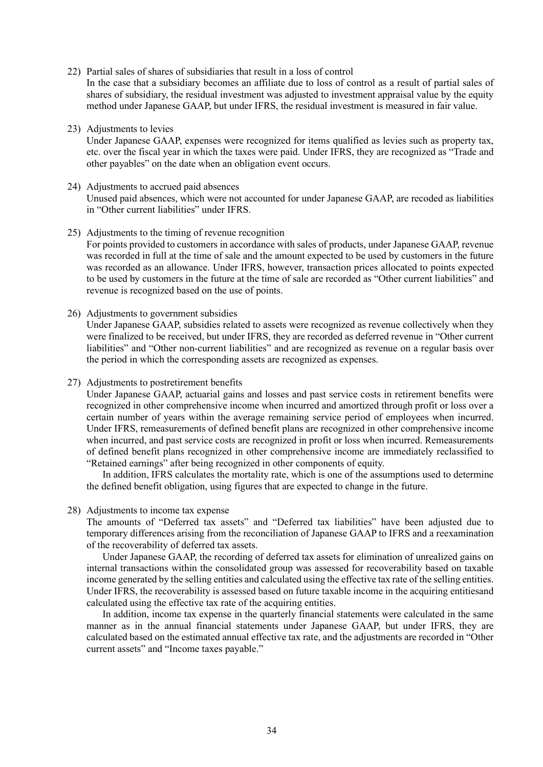22) Partial sales of shares of subsidiaries that result in a loss of control

In the case that a subsidiary becomes an affiliate due to loss of control as a result of partial sales of shares of subsidiary, the residual investment was adjusted to investment appraisal value by the equity method under Japanese GAAP, but under IFRS, the residual investment is measured in fair value.

- 23) Adjustments to levies Under Japanese GAAP, expenses were recognized for items qualified as levies such as property tax, etc. over the fiscal year in which the taxes were paid. Under IFRS, they are recognized as "Trade and other payables" on the date when an obligation event occurs.
- 24) Adjustments to accrued paid absences Unused paid absences, which were not accounted for under Japanese GAAP, are recoded as liabilities in "Other current liabilities" under IFRS.
- 25) Adjustments to the timing of revenue recognition For points provided to customers in accordance with sales of products, under Japanese GAAP, revenue was recorded in full at the time of sale and the amount expected to be used by customers in the future was recorded as an allowance. Under IFRS, however, transaction prices allocated to points expected to be used by customers in the future at the time of sale are recorded as "Other current liabilities" and revenue is recognized based on the use of points.
- 26) Adjustments to government subsidies Under Japanese GAAP, subsidies related to assets were recognized as revenue collectively when they

were finalized to be received, but under IFRS, they are recorded as deferred revenue in "Other current liabilities" and "Other non-current liabilities" and are recognized as revenue on a regular basis over the period in which the corresponding assets are recognized as expenses.

27) Adjustments to postretirement benefits

Under Japanese GAAP, actuarial gains and losses and past service costs in retirement benefits were recognized in other comprehensive income when incurred and amortized through profit or loss over a certain number of years within the average remaining service period of employees when incurred. Under IFRS, remeasurements of defined benefit plans are recognized in other comprehensive income when incurred, and past service costs are recognized in profit or loss when incurred. Remeasurements of defined benefit plans recognized in other comprehensive income are immediately reclassified to "Retained earnings" after being recognized in other components of equity.

In addition, IFRS calculates the mortality rate, which is one of the assumptions used to determine the defined benefit obligation, using figures that are expected to change in the future.

28) Adjustments to income tax expense

The amounts of "Deferred tax assets" and "Deferred tax liabilities" have been adjusted due to temporary differences arising from the reconciliation of Japanese GAAP to IFRS and a reexamination of the recoverability of deferred tax assets.

Under Japanese GAAP, the recording of deferred tax assets for elimination of unrealized gains on internal transactions within the consolidated group was assessed for recoverability based on taxable income generated by the selling entities and calculated using the effective tax rate of the selling entities. Under IFRS, the recoverability is assessed based on future taxable income in the acquiring entitiesand calculated using the effective tax rate of the acquiring entities.

In addition, income tax expense in the quarterly financial statements were calculated in the same manner as in the annual financial statements under Japanese GAAP, but under IFRS, they are calculated based on the estimated annual effective tax rate, and the adjustments are recorded in "Other current assets" and "Income taxes payable."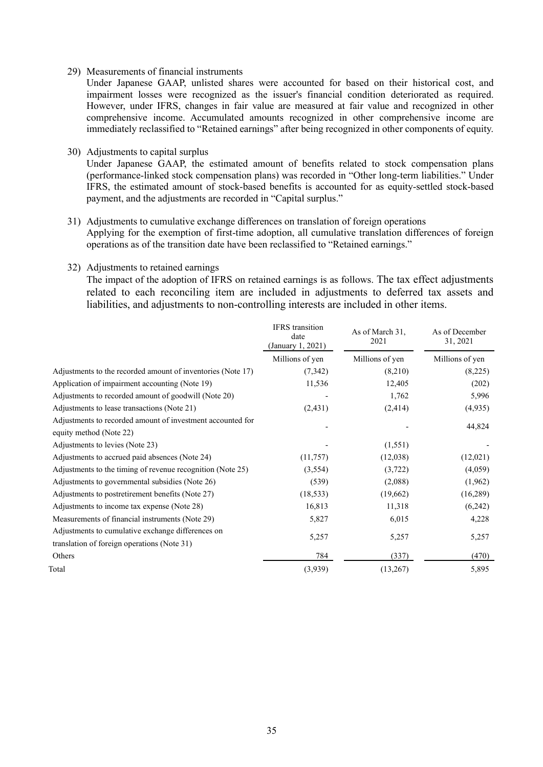### 29) Measurements of financial instruments

Under Japanese GAAP, unlisted shares were accounted for based on their historical cost, and impairment losses were recognized as the issuer's financial condition deteriorated as required. However, under IFRS, changes in fair value are measured at fair value and recognized in other comprehensive income. Accumulated amounts recognized in other comprehensive income are immediately reclassified to "Retained earnings" after being recognized in other components of equity.

30) Adjustments to capital surplus

Under Japanese GAAP, the estimated amount of benefits related to stock compensation plans (performance-linked stock compensation plans) was recorded in "Other long-term liabilities." Under IFRS, the estimated amount of stock-based benefits is accounted for as equity-settled stock-based payment, and the adjustments are recorded in "Capital surplus."

# 31) Adjustments to cumulative exchange differences on translation of foreign operations

Applying for the exemption of first-time adoption, all cumulative translation differences of foreign operations as of the transition date have been reclassified to "Retained earnings."

32) Adjustments to retained earnings

The impact of the adoption of IFRS on retained earnings is as follows. The tax effect adjustments related to each reconciling item are included in adjustments to deferred tax assets and liabilities, and adjustments to non-controlling interests are included in other items.

|                                                             | <b>IFRS</b> transition<br>date<br>(January 1, 2021) | As of March 31,<br>2021 | As of December<br>31, 2021 |
|-------------------------------------------------------------|-----------------------------------------------------|-------------------------|----------------------------|
|                                                             | Millions of yen                                     | Millions of yen         | Millions of yen            |
| Adjustments to the recorded amount of inventories (Note 17) | (7,342)                                             | (8,210)                 | (8,225)                    |
| Application of impairment accounting (Note 19)              | 11,536                                              | 12,405                  | (202)                      |
| Adjustments to recorded amount of goodwill (Note 20)        |                                                     | 1,762                   | 5,996                      |
| Adjustments to lease transactions (Note 21)                 | (2, 431)                                            | (2, 414)                | (4,935)                    |
| Adjustments to recorded amount of investment accounted for  |                                                     |                         |                            |
| equity method (Note 22)                                     |                                                     |                         | 44,824                     |
| Adjustments to levies (Note 23)                             |                                                     | (1,551)                 |                            |
| Adjustments to accrued paid absences (Note 24)              | (11,757)                                            | (12,038)                | (12,021)                   |
| Adjustments to the timing of revenue recognition (Note 25)  | (3,554)                                             | (3,722)                 | (4,059)                    |
| Adjustments to governmental subsidies (Note 26)             | (539)                                               | (2,088)                 | (1,962)                    |
| Adjustments to postretirement benefits (Note 27)            | (18, 533)                                           | (19,662)                | (16,289)                   |
| Adjustments to income tax expense (Note 28)                 | 16,813                                              | 11,318                  | (6,242)                    |
| Measurements of financial instruments (Note 29)             | 5,827                                               | 6,015                   | 4,228                      |
| Adjustments to cumulative exchange differences on           |                                                     |                         |                            |
| translation of foreign operations (Note 31)                 | 5,257                                               | 5,257                   | 5,257                      |
| Others                                                      | 784                                                 | (337)                   | (470)                      |
| Total                                                       | (3,939)                                             | (13,267)                | 5,895                      |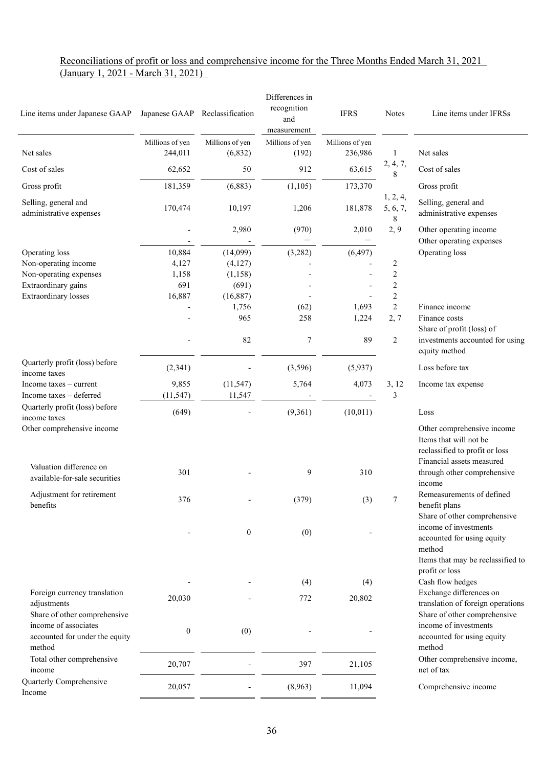### Reconciliations of profit or loss and comprehensive income for the Three Months Ended March 31, 2021 (January 1, 2021 - March 31, 2021)

| Line items under Japanese GAAP  Japanese GAAP  Reclassification                                  |                            |                             | Differences in<br>recognition<br>and<br>measurement | <b>IFRS</b>                | <b>Notes</b>                        | Line items under IFRSs                                                                                              |
|--------------------------------------------------------------------------------------------------|----------------------------|-----------------------------|-----------------------------------------------------|----------------------------|-------------------------------------|---------------------------------------------------------------------------------------------------------------------|
| Net sales                                                                                        | Millions of yen<br>244,011 | Millions of yen<br>(6, 832) | Millions of yen<br>(192)                            | Millions of yen<br>236,986 | 1                                   | Net sales                                                                                                           |
| Cost of sales                                                                                    | 62,652                     | 50                          | 912                                                 | 63,615                     | 2, 4, 7,<br>8                       | Cost of sales                                                                                                       |
| Gross profit                                                                                     | 181,359                    | (6,883)                     | (1,105)                                             | 173,370                    |                                     | Gross profit                                                                                                        |
| Selling, general and<br>administrative expenses                                                  | 170,474                    | 10,197                      | 1,206                                               | 181,878                    | 1, 2, 4,<br>5, 6, 7,<br>$\,$ 8 $\,$ | Selling, general and<br>administrative expenses                                                                     |
|                                                                                                  |                            | 2,980                       | (970)                                               | 2,010                      | 2, 9                                | Other operating income<br>Other operating expenses                                                                  |
| Operating loss                                                                                   | 10,884                     | (14,099)                    | (3,282)                                             | (6, 497)                   |                                     | Operating loss                                                                                                      |
| Non-operating income                                                                             | 4,127                      | (4,127)                     |                                                     |                            | 2                                   |                                                                                                                     |
| Non-operating expenses                                                                           | 1,158                      | (1,158)                     |                                                     |                            | $\overline{c}$                      |                                                                                                                     |
| Extraordinary gains                                                                              | 691                        | (691)                       |                                                     |                            | $\overline{c}$                      |                                                                                                                     |
| <b>Extraordinary losses</b>                                                                      | 16,887                     | (16,887)                    |                                                     |                            | $\overline{c}$                      |                                                                                                                     |
|                                                                                                  |                            | 1,756<br>965                | (62)<br>258                                         | 1,693<br>1,224             | $\overline{2}$<br>2,7               | Finance income<br>Finance costs<br>Share of profit (loss) of                                                        |
|                                                                                                  |                            | 82                          | 7                                                   | 89                         | $\overline{c}$                      | investments accounted for using<br>equity method                                                                    |
| Quarterly profit (loss) before<br>income taxes                                                   | (2,341)                    |                             | (3,596)                                             | (5,937)                    |                                     | Loss before tax                                                                                                     |
| Income taxes $-$ current<br>Income taxes - deferred                                              | 9,855<br>(11, 547)         | (11, 547)<br>11,547         | 5,764                                               | 4,073                      | 3, 12<br>3                          | Income tax expense                                                                                                  |
| Quarterly profit (loss) before<br>income taxes                                                   | (649)                      |                             | (9,361)                                             | (10,011)                   |                                     | Loss                                                                                                                |
| Other comprehensive income<br>Valuation difference on                                            |                            |                             |                                                     |                            |                                     | Other comprehensive income<br>Items that will not be<br>reclassified to profit or loss<br>Financial assets measured |
| available-for-sale securities                                                                    | 301                        |                             | 9                                                   | 310                        |                                     | through other comprehensive<br>income                                                                               |
| Adjustment for retirement<br>benefits                                                            | 376                        |                             | (379)                                               | (3)                        | 7                                   | Remeasurements of defined<br>benefit plans<br>Share of other comprehensive                                          |
|                                                                                                  |                            | $\boldsymbol{0}$            | (0)                                                 |                            |                                     | income of investments<br>accounted for using equity<br>method<br>Items that may be reclassified to                  |
|                                                                                                  |                            |                             | (4)                                                 | (4)                        |                                     | profit or loss<br>Cash flow hedges                                                                                  |
| Foreign currency translation                                                                     | 20,030                     |                             | 772                                                 | 20,802                     |                                     | Exchange differences on                                                                                             |
| adjustments                                                                                      |                            |                             |                                                     |                            |                                     | translation of foreign operations                                                                                   |
| Share of other comprehensive<br>income of associates<br>accounted for under the equity<br>method | $\boldsymbol{0}$           | (0)                         |                                                     |                            |                                     | Share of other comprehensive<br>income of investments<br>accounted for using equity<br>method                       |
| Total other comprehensive<br>income                                                              | 20,707                     |                             | 397                                                 | 21,105                     |                                     | Other comprehensive income,<br>net of tax                                                                           |
| Quarterly Comprehensive<br>Income                                                                | 20,057                     |                             | (8,963)                                             | 11,094                     |                                     | Comprehensive income                                                                                                |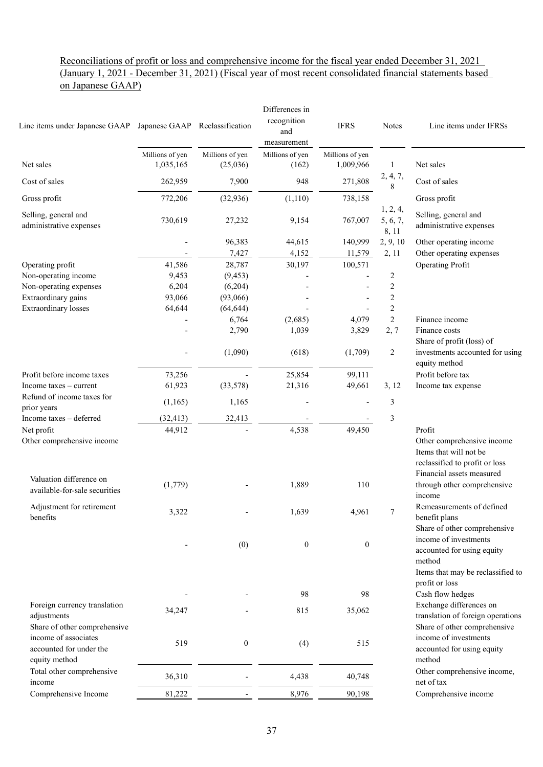### Reconciliations of profit or loss and comprehensive income for the fiscal year ended December 31, 2021 (January 1, 2021 - December 31, 2021) (Fiscal year of most recent consolidated financial statements based on Japanese GAAP)

| Line items under Japanese GAAP Japanese GAAP Reclassification    |                 |                  | Differences in<br>recognition<br>and<br>measurement | <b>IFRS</b>      | <b>Notes</b>                  | Line items under IFRSs                                                                                              |
|------------------------------------------------------------------|-----------------|------------------|-----------------------------------------------------|------------------|-------------------------------|---------------------------------------------------------------------------------------------------------------------|
|                                                                  | Millions of yen | Millions of yen  | Millions of yen                                     | Millions of yen  |                               |                                                                                                                     |
| Net sales                                                        | 1,035,165       | (25,036)         | (162)                                               | 1,009,966        | 1                             | Net sales                                                                                                           |
| Cost of sales                                                    | 262,959         | 7,900            | 948                                                 | 271,808          | 2, 4, 7,<br>8                 | Cost of sales                                                                                                       |
| Gross profit                                                     | 772,206         | (32, 936)        | (1,110)                                             | 738,158          |                               | Gross profit                                                                                                        |
| Selling, general and<br>administrative expenses                  | 730,619         | 27,232           | 9,154                                               | 767,007          | 1, 2, 4,<br>5, 6, 7,<br>8, 11 | Selling, general and<br>administrative expenses                                                                     |
|                                                                  |                 | 96,383           | 44,615                                              | 140,999          | 2, 9, 10                      | Other operating income                                                                                              |
|                                                                  |                 | 7,427            | 4,152                                               | 11,579           | 2, 11                         | Other operating expenses                                                                                            |
| Operating profit                                                 | 41,586          | 28,787           | 30,197                                              | 100,571          |                               | Operating Profit                                                                                                    |
| Non-operating income                                             | 9,453           | (9, 453)         |                                                     |                  | 2                             |                                                                                                                     |
| Non-operating expenses                                           | 6,204           | (6,204)          |                                                     |                  | $\overline{c}$                |                                                                                                                     |
| Extraordinary gains                                              | 93,066          | (93,066)         |                                                     |                  | $\mathbf{2}$                  |                                                                                                                     |
| <b>Extraordinary losses</b>                                      | 64,644          | (64, 644)        |                                                     |                  | $\mathbf{2}$                  |                                                                                                                     |
|                                                                  |                 | 6,764            | (2,685)                                             | 4,079            | $\overline{2}$                | Finance income                                                                                                      |
|                                                                  |                 | 2,790            | 1,039                                               | 3,829            | 2,7                           | Finance costs<br>Share of profit (loss) of                                                                          |
|                                                                  |                 | (1,090)          | (618)                                               | (1,709)          | $\overline{c}$                | investments accounted for using<br>equity method                                                                    |
| Profit before income taxes                                       | 73,256          |                  | 25,854                                              | 99,111           |                               | Profit before tax                                                                                                   |
| Income taxes – current                                           | 61,923          | (33,578)         | 21,316                                              | 49,661           | 3, 12                         | Income tax expense                                                                                                  |
| Refund of income taxes for<br>prior years                        | (1,165)         | 1,165            |                                                     |                  | 3                             |                                                                                                                     |
| Income taxes - deferred                                          | (32, 413)       | 32,413           |                                                     |                  | 3                             |                                                                                                                     |
| Net profit                                                       | 44,912          |                  | 4,538                                               | 49,450           |                               | Profit                                                                                                              |
| Other comprehensive income                                       |                 |                  |                                                     |                  |                               | Other comprehensive income<br>Items that will not be<br>reclassified to profit or loss<br>Financial assets measured |
| Valuation difference on<br>available-for-sale securities         | (1,779)         |                  | 1,889                                               | 110              |                               | through other comprehensive<br>income                                                                               |
| Adjustment for retirement<br>benefits                            | 3,322           |                  | 1,639                                               | 4,961            | 7                             | Remeasurements of defined<br>benefit plans<br>Share of other comprehensive                                          |
|                                                                  |                 | (0)              | $\boldsymbol{0}$                                    | $\boldsymbol{0}$ |                               | income of investments<br>accounted for using equity<br>method<br>Items that may be reclassified to                  |
|                                                                  |                 |                  | 98                                                  | 98               |                               | profit or loss<br>Cash flow hedges                                                                                  |
| Foreign currency translation                                     |                 |                  |                                                     |                  |                               | Exchange differences on                                                                                             |
| adjustments<br>Share of other comprehensive                      | 34,247          |                  | 815                                                 | 35,062           |                               | translation of foreign operations<br>Share of other comprehensive                                                   |
| income of associates<br>accounted for under the<br>equity method | 519             | $\boldsymbol{0}$ | (4)                                                 | 515              |                               | income of investments<br>accounted for using equity<br>method                                                       |
| Total other comprehensive<br>income                              | 36,310          |                  | 4,438                                               | 40,748           |                               | Other comprehensive income,<br>net of tax                                                                           |
| Comprehensive Income                                             | 81,222          |                  | 8,976                                               | 90,198           |                               | Comprehensive income                                                                                                |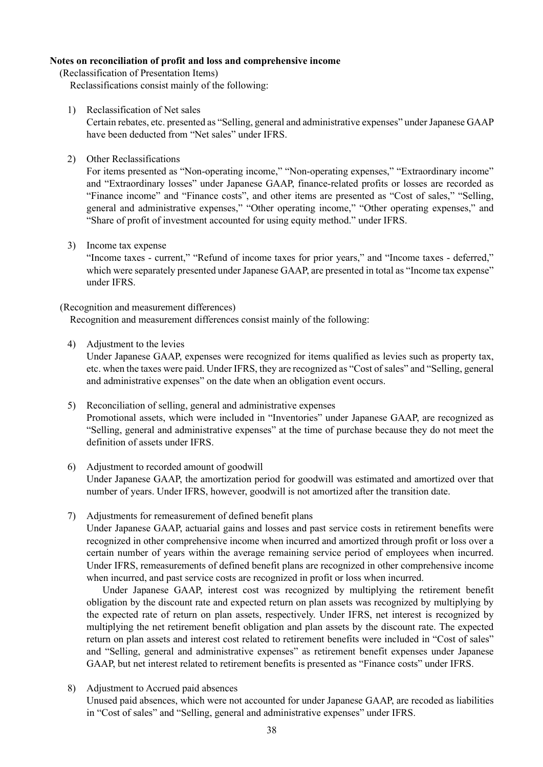### **Notes on reconciliation of profit and loss and comprehensive income**

(Reclassification of Presentation Items)

Reclassifications consist mainly of the following:

1) Reclassification of Net sales

Certain rebates, etc. presented as "Selling, general and administrative expenses" under Japanese GAAP have been deducted from "Net sales" under IFRS.

2) Other Reclassifications

For items presented as "Non-operating income," "Non-operating expenses," "Extraordinary income" and "Extraordinary losses" under Japanese GAAP, finance-related profits or losses are recorded as "Finance income" and "Finance costs", and other items are presented as "Cost of sales," "Selling, general and administrative expenses," "Other operating income," "Other operating expenses," and "Share of profit of investment accounted for using equity method." under IFRS.

3) Income tax expense

"Income taxes - current," "Refund of income taxes for prior years," and "Income taxes - deferred," which were separately presented under Japanese GAAP, are presented in total as "Income tax expense" under IFRS.

### (Recognition and measurement differences)

Recognition and measurement differences consist mainly of the following:

4) Adjustment to the levies

Under Japanese GAAP, expenses were recognized for items qualified as levies such as property tax, etc. when the taxes were paid. Under IFRS, they are recognized as "Cost of sales" and "Selling, general and administrative expenses" on the date when an obligation event occurs.

- 5) Reconciliation of selling, general and administrative expenses Promotional assets, which were included in "Inventories" under Japanese GAAP, are recognized as "Selling, general and administrative expenses" at the time of purchase because they do not meet the definition of assets under IFRS.
- 6) Adjustment to recorded amount of goodwill Under Japanese GAAP, the amortization period for goodwill was estimated and amortized over that number of years. Under IFRS, however, goodwill is not amortized after the transition date.
- 7) Adjustments for remeasurement of defined benefit plans

Under Japanese GAAP, actuarial gains and losses and past service costs in retirement benefits were recognized in other comprehensive income when incurred and amortized through profit or loss over a certain number of years within the average remaining service period of employees when incurred. Under IFRS, remeasurements of defined benefit plans are recognized in other comprehensive income when incurred, and past service costs are recognized in profit or loss when incurred.

Under Japanese GAAP, interest cost was recognized by multiplying the retirement benefit obligation by the discount rate and expected return on plan assets was recognized by multiplying by the expected rate of return on plan assets, respectively. Under IFRS, net interest is recognized by multiplying the net retirement benefit obligation and plan assets by the discount rate. The expected return on plan assets and interest cost related to retirement benefits were included in "Cost of sales" and "Selling, general and administrative expenses" as retirement benefit expenses under Japanese GAAP, but net interest related to retirement benefits is presented as "Finance costs" under IFRS.

8) Adjustment to Accrued paid absences

Unused paid absences, which were not accounted for under Japanese GAAP, are recoded as liabilities in "Cost of sales" and "Selling, general and administrative expenses" under IFRS.